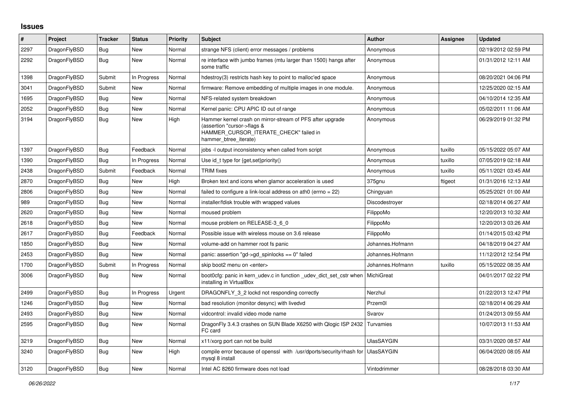## **Issues**

| #    | Project      | <b>Tracker</b> | <b>Status</b> | Priority | <b>Subject</b>                                                                                                                                              | <b>Author</b>     | Assignee | <b>Updated</b>      |
|------|--------------|----------------|---------------|----------|-------------------------------------------------------------------------------------------------------------------------------------------------------------|-------------------|----------|---------------------|
| 2297 | DragonFlyBSD | <b>Bug</b>     | New           | Normal   | strange NFS (client) error messages / problems                                                                                                              | Anonymous         |          | 02/19/2012 02:59 PM |
| 2292 | DragonFlyBSD | Bug            | <b>New</b>    | Normal   | re interface with jumbo frames (mtu larger than 1500) hangs after<br>some traffic                                                                           | Anonymous         |          | 01/31/2012 12:11 AM |
| 1398 | DragonFlyBSD | Submit         | In Progress   | Normal   | hdestroy(3) restricts hash key to point to malloc'ed space                                                                                                  | Anonymous         |          | 08/20/2021 04:06 PM |
| 3041 | DragonFlyBSD | Submit         | <b>New</b>    | Normal   | firmware: Remove embedding of multiple images in one module.                                                                                                | Anonymous         |          | 12/25/2020 02:15 AM |
| 1695 | DragonFlyBSD | Bug            | New           | Normal   | NFS-related system breakdown                                                                                                                                | Anonymous         |          | 04/10/2014 12:35 AM |
| 2052 | DragonFlyBSD | <b>Bug</b>     | New           | Normal   | Kernel panic: CPU APIC ID out of range                                                                                                                      | Anonymous         |          | 05/02/2011 11:06 AM |
| 3194 | DragonFlyBSD | <b>Bug</b>     | New           | High     | Hammer kernel crash on mirror-stream of PFS after upgrade<br>(assertion "cursor->flags &<br>HAMMER CURSOR ITERATE CHECK" failed in<br>hammer btree iterate) | Anonymous         |          | 06/29/2019 01:32 PM |
| 1397 | DragonFlyBSD | <b>Bug</b>     | Feedback      | Normal   | jobs -I output inconsistency when called from script                                                                                                        | Anonymous         | tuxillo  | 05/15/2022 05:07 AM |
| 1390 | DragonFlyBSD | Bug            | In Progress   | Normal   | Use id_t type for {get, set}priority()                                                                                                                      | Anonymous         | tuxillo  | 07/05/2019 02:18 AM |
| 2438 | DragonFlyBSD | Submit         | Feedback      | Normal   | <b>TRIM</b> fixes                                                                                                                                           | Anonymous         | tuxillo  | 05/11/2021 03:45 AM |
| 2870 | DragonFlyBSD | Bug            | New           | High     | Broken text and icons when glamor acceleration is used                                                                                                      | 375gnu            | ftigeot  | 01/31/2016 12:13 AM |
| 2806 | DragonFlyBSD | <b>Bug</b>     | <b>New</b>    | Normal   | failed to configure a link-local address on ath $0$ (errno = 22)                                                                                            | Chingyuan         |          | 05/25/2021 01:00 AM |
| 989  | DragonFlyBSD | <b>Bug</b>     | <b>New</b>    | Normal   | installer/fdisk trouble with wrapped values                                                                                                                 | Discodestroyer    |          | 02/18/2014 06:27 AM |
| 2620 | DragonFlyBSD | Bug            | New           | Normal   | moused problem                                                                                                                                              | FilippoMo         |          | 12/20/2013 10:32 AM |
| 2618 | DragonFlyBSD | <b>Bug</b>     | <b>New</b>    | Normal   | mouse problem on RELEASE-3_6_0                                                                                                                              | FilippoMo         |          | 12/20/2013 03:26 AM |
| 2617 | DragonFlyBSD | Bug            | Feedback      | Normal   | Possible issue with wireless mouse on 3.6 release                                                                                                           | FilippoMo         |          | 01/14/2015 03:42 PM |
| 1850 | DragonFlyBSD | Bug            | <b>New</b>    | Normal   | volume-add on hammer root fs panic                                                                                                                          | Johannes.Hofmann  |          | 04/18/2019 04:27 AM |
| 2453 | DragonFlyBSD | Bug            | <b>New</b>    | Normal   | panic: assertion "gd->gd spinlocks == $0$ " failed                                                                                                          | Johannes.Hofmann  |          | 11/12/2012 12:54 PM |
| 1700 | DragonFlyBSD | Submit         | In Progress   | Normal   | skip boot2 menu on <enter></enter>                                                                                                                          | Johannes.Hofmann  | tuxillo  | 05/15/2022 08:35 AM |
| 3006 | DragonFlyBSD | Bug            | New           | Normal   | boot0cfg: panic in kern_udev.c in function _udev_dict_set_cstr when<br>installing in VirtualBox                                                             | MichiGreat        |          | 04/01/2017 02:22 PM |
| 2499 | DragonFlyBSD | <b>Bug</b>     | In Progress   | Urgent   | DRAGONFLY_3_2 lockd not responding correctly                                                                                                                | Nerzhul           |          | 01/22/2013 12:47 PM |
| 1246 | DragonFlyBSD | Bug            | New           | Normal   | bad resolution (monitor desync) with livedvd                                                                                                                | Przem0l           |          | 02/18/2014 06:29 AM |
| 2493 | DragonFlyBSD | <b>Bug</b>     | <b>New</b>    | Normal   | vidcontrol: invalid video mode name                                                                                                                         | Svarov            |          | 01/24/2013 09:55 AM |
| 2595 | DragonFlyBSD | <b>Bug</b>     | New           | Normal   | DragonFly 3.4.3 crashes on SUN Blade X6250 with Qlogic ISP 2432<br>FC card                                                                                  | Turvamies         |          | 10/07/2013 11:53 AM |
| 3219 | DragonFlyBSD | <b>Bug</b>     | <b>New</b>    | Normal   | x11/xorg port can not be build                                                                                                                              | <b>UlasSAYGIN</b> |          | 03/31/2020 08:57 AM |
| 3240 | DragonFlyBSD | <b>Bug</b>     | New           | High     | compile error because of openssl with /usr/dports/security/rhash for<br>mysql 8 install                                                                     | <b>UlasSAYGIN</b> |          | 06/04/2020 08:05 AM |
| 3120 | DragonFlyBSD | Bug            | <b>New</b>    | Normal   | Intel AC 8260 firmware does not load                                                                                                                        | Vintodrimmer      |          | 08/28/2018 03:30 AM |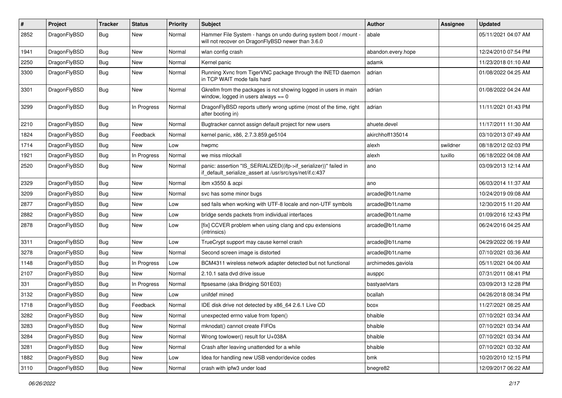| $\#$ | Project      | <b>Tracker</b> | <b>Status</b> | <b>Priority</b> | <b>Subject</b>                                                                                                               | Author             | Assignee | <b>Updated</b>      |
|------|--------------|----------------|---------------|-----------------|------------------------------------------------------------------------------------------------------------------------------|--------------------|----------|---------------------|
| 2852 | DragonFlyBSD | <b>Bug</b>     | New           | Normal          | Hammer File System - hangs on undo during system boot / mount -<br>will not recover on DragonFlyBSD newer than 3.6.0         | abale              |          | 05/11/2021 04:07 AM |
| 1941 | DragonFlyBSD | <b>Bug</b>     | New           | Normal          | wlan config crash                                                                                                            | abandon.every.hope |          | 12/24/2010 07:54 PM |
| 2250 | DragonFlyBSD | <b>Bug</b>     | New           | Normal          | Kernel panic                                                                                                                 | adamk              |          | 11/23/2018 01:10 AM |
| 3300 | DragonFlyBSD | <b>Bug</b>     | New           | Normal          | Running Xvnc from TigerVNC package through the INETD daemon<br>in TCP WAIT mode fails hard                                   | adrian             |          | 01/08/2022 04:25 AM |
| 3301 | DragonFlyBSD | <b>Bug</b>     | New           | Normal          | Gkrellm from the packages is not showing logged in users in main<br>window, logged in users always $== 0$                    | adrian             |          | 01/08/2022 04:24 AM |
| 3299 | DragonFlyBSD | <b>Bug</b>     | In Progress   | Normal          | DragonFlyBSD reports utterly wrong uptime (most of the time, right<br>after booting in)                                      | adrian             |          | 11/11/2021 01:43 PM |
| 2210 | DragonFlyBSD | <b>Bug</b>     | New           | Normal          | Bugtracker cannot assign default project for new users                                                                       | ahuete.devel       |          | 11/17/2011 11:30 AM |
| 1824 | DragonFlyBSD | <b>Bug</b>     | Feedback      | Normal          | kernel panic, x86, 2.7.3.859.ge5104                                                                                          | akirchhoff135014   |          | 03/10/2013 07:49 AM |
| 1714 | DragonFlyBSD | <b>Bug</b>     | New           | Low             | hwpmc                                                                                                                        | alexh              | swildner | 08/18/2012 02:03 PM |
| 1921 | DragonFlyBSD | <b>Bug</b>     | In Progress   | Normal          | we miss mlockall                                                                                                             | alexh              | tuxillo  | 06/18/2022 04:08 AM |
| 2520 | DragonFlyBSD | <b>Bug</b>     | <b>New</b>    | Normal          | panic: assertion "IS_SERIALIZED((ifp->if_serializer))" failed in<br>if default serialize assert at /usr/src/sys/net/if.c:437 | ano                |          | 03/09/2013 12:14 AM |
| 2329 | DragonFlyBSD | <b>Bug</b>     | <b>New</b>    | Normal          | ibm x3550 & acpi                                                                                                             | ano                |          | 06/03/2014 11:37 AM |
| 3209 | DragonFlyBSD | Bug            | New           | Normal          | svc has some minor bugs                                                                                                      | arcade@b1t.name    |          | 10/24/2019 09:08 AM |
| 2877 | DragonFlyBSD | <b>Bug</b>     | <b>New</b>    | Low             | sed fails when working with UTF-8 locale and non-UTF symbols                                                                 | arcade@b1t.name    |          | 12/30/2015 11:20 AM |
| 2882 | DragonFlyBSD | <b>Bug</b>     | <b>New</b>    | Low             | bridge sends packets from individual interfaces                                                                              | arcade@b1t.name    |          | 01/09/2016 12:43 PM |
| 2878 | DragonFlyBSD | Bug            | New           | Low             | [fix] CCVER problem when using clang and cpu extensions<br>(intrinsics)                                                      | arcade@b1t.name    |          | 06/24/2016 04:25 AM |
| 3311 | DragonFlyBSD | Bug            | New           | Low             | TrueCrypt support may cause kernel crash                                                                                     | arcade@b1t.name    |          | 04/29/2022 06:19 AM |
| 3278 | DragonFlyBSD | <b>Bug</b>     | New           | Normal          | Second screen image is distorted                                                                                             | arcade@b1t.name    |          | 07/10/2021 03:36 AM |
| 1148 | DragonFlyBSD | <b>Bug</b>     | In Progress   | Low             | BCM4311 wireless network adapter detected but not functional                                                                 | archimedes.gaviola |          | 05/11/2021 04:00 AM |
| 2107 | DragonFlyBSD | Bug            | New           | Normal          | 2.10.1 sata dvd drive issue                                                                                                  | ausppc             |          | 07/31/2011 08:41 PM |
| 331  | DragonFlyBSD | <b>Bug</b>     | In Progress   | Normal          | ftpsesame (aka Bridging S01E03)                                                                                              | bastyaelvtars      |          | 03/09/2013 12:28 PM |
| 3132 | DragonFlyBSD | <b>Bug</b>     | New           | Low             | unifdef mined                                                                                                                | bcallah            |          | 04/26/2018 08:34 PM |
| 1718 | DragonFlyBSD | <b>Bug</b>     | Feedback      | Normal          | IDE disk drive not detected by x86_64 2.6.1 Live CD                                                                          | bcox               |          | 11/27/2021 08:25 AM |
| 3282 | DragonFlyBSD | Bug            | <b>New</b>    | Normal          | unexpected errno value from fopen()                                                                                          | bhaible            |          | 07/10/2021 03:34 AM |
| 3283 | DragonFlyBSD | <b>Bug</b>     | New           | Normal          | mknodat() cannot create FIFOs                                                                                                | bhaible            |          | 07/10/2021 03:34 AM |
| 3284 | DragonFlyBSD | <b>Bug</b>     | New           | Normal          | Wrong towlower() result for U+038A                                                                                           | bhaible            |          | 07/10/2021 03:34 AM |
| 3281 | DragonFlyBSD | <b>Bug</b>     | <b>New</b>    | Normal          | Crash after leaving unattended for a while                                                                                   | bhaible            |          | 07/10/2021 03:32 AM |
| 1882 | DragonFlyBSD | <b>Bug</b>     | <b>New</b>    | Low             | Idea for handling new USB vendor/device codes                                                                                | bmk                |          | 10/20/2010 12:15 PM |
| 3110 | DragonFlyBSD | <b>Bug</b>     | New           | Normal          | crash with ipfw3 under load                                                                                                  | bnegre82           |          | 12/09/2017 06:22 AM |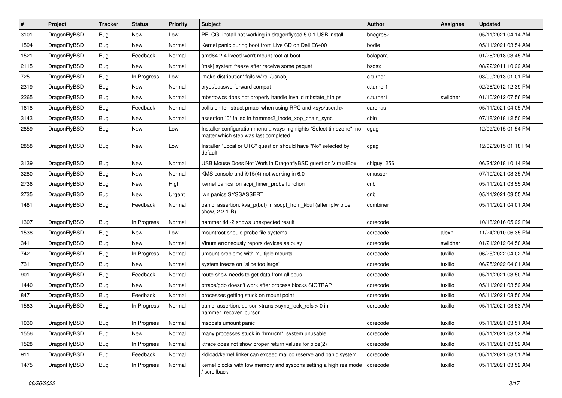| $\vert$ # | Project      | <b>Tracker</b> | <b>Status</b> | <b>Priority</b> | <b>Subject</b>                                                                                                | Author     | <b>Assignee</b> | <b>Updated</b>      |
|-----------|--------------|----------------|---------------|-----------------|---------------------------------------------------------------------------------------------------------------|------------|-----------------|---------------------|
| 3101      | DragonFlyBSD | Bug            | New           | Low             | PFI CGI install not working in dragonflybsd 5.0.1 USB install                                                 | bnegre82   |                 | 05/11/2021 04:14 AM |
| 1594      | DragonFlyBSD | Bug            | <b>New</b>    | Normal          | Kernel panic during boot from Live CD on Dell E6400                                                           | bodie      |                 | 05/11/2021 03:54 AM |
| 1521      | DragonFlyBSD | <b>Bug</b>     | Feedback      | Normal          | amd64 2.4 livecd won't mount root at boot                                                                     | bolapara   |                 | 01/28/2018 03:45 AM |
| 2115      | DragonFlyBSD | <b>Bug</b>     | New           | Normal          | [msk] system freeze after receive some paquet                                                                 | bsdsx      |                 | 08/22/2011 10:22 AM |
| 725       | DragonFlyBSD | Bug            | In Progress   | Low             | 'make distribution' fails w/'ro' /usr/obj                                                                     | c.turner   |                 | 03/09/2013 01:01 PM |
| 2319      | DragonFlyBSD | <b>Bug</b>     | New           | Normal          | crypt/passwd forward compat                                                                                   | c.turner1  |                 | 02/28/2012 12:39 PM |
| 2265      | DragonFlyBSD | <b>Bug</b>     | New           | Normal          | mbsrtowcs does not properly handle invalid mbstate t in ps                                                    | c.turner1  | swildner        | 01/10/2012 07:56 PM |
| 1618      | DragonFlyBSD | <b>Bug</b>     | Feedback      | Normal          | collision for 'struct pmap' when using RPC and <sys user.h=""></sys>                                          | carenas    |                 | 05/11/2021 04:05 AM |
| 3143      | DragonFlyBSD | <b>Bug</b>     | <b>New</b>    | Normal          | assertion "0" failed in hammer2 inode xop chain sync                                                          | cbin       |                 | 07/18/2018 12:50 PM |
| 2859      | DragonFlyBSD | Bug            | New           | Low             | Installer configuration menu always highlights "Select timezone", no<br>matter which step was last completed. | cgag       |                 | 12/02/2015 01:54 PM |
| 2858      | DragonFlyBSD | Bug            | New           | Low             | Installer "Local or UTC" question should have "No" selected by<br>default.                                    | cgag       |                 | 12/02/2015 01:18 PM |
| 3139      | DragonFlyBSD | Bug            | New           | Normal          | USB Mouse Does Not Work in DragonflyBSD guest on VirtualBox                                                   | chiguy1256 |                 | 06/24/2018 10:14 PM |
| 3280      | DragonFlyBSD | <b>Bug</b>     | <b>New</b>    | Normal          | KMS console and i915(4) not working in 6.0                                                                    | cmusser    |                 | 07/10/2021 03:35 AM |
| 2736      | DragonFlyBSD | <b>Bug</b>     | New           | High            | kernel panics on acpi_timer_probe function                                                                    | cnb        |                 | 05/11/2021 03:55 AM |
| 2735      | DragonFlyBSD | <b>Bug</b>     | New           | Urgent          | iwn panics SYSSASSERT                                                                                         | cnb        |                 | 05/11/2021 03:55 AM |
| 1481      | DragonFlyBSD | Bug            | Feedback      | Normal          | panic: assertion: kva_p(buf) in soopt_from_kbuf (after ipfw pipe<br>show, 2.2.1-R)                            | combiner   |                 | 05/11/2021 04:01 AM |
| 1307      | DragonFlyBSD | Bug            | In Progress   | Normal          | hammer tid -2 shows unexpected result                                                                         | corecode   |                 | 10/18/2016 05:29 PM |
| 1538      | DragonFlyBSD | <b>Bug</b>     | <b>New</b>    | Low             | mountroot should probe file systems                                                                           | corecode   | alexh           | 11/24/2010 06:35 PM |
| 341       | DragonFlyBSD | <b>Bug</b>     | <b>New</b>    | Normal          | Vinum erroneously repors devices as busy                                                                      | corecode   | swildner        | 01/21/2012 04:50 AM |
| 742       | DragonFlyBSD | <b>Bug</b>     | In Progress   | Normal          | umount problems with multiple mounts                                                                          | corecode   | tuxillo         | 06/25/2022 04:02 AM |
| 731       | DragonFlyBSD | <b>Bug</b>     | New           | Normal          | system freeze on "slice too large"                                                                            | corecode   | tuxillo         | 06/25/2022 04:01 AM |
| 901       | DragonFlyBSD | <b>Bug</b>     | Feedback      | Normal          | route show needs to get data from all cpus                                                                    | corecode   | tuxillo         | 05/11/2021 03:50 AM |
| 1440      | DragonFlyBSD | Bug            | New           | Normal          | ptrace/gdb doesn't work after process blocks SIGTRAP                                                          | corecode   | tuxillo         | 05/11/2021 03:52 AM |
| 847       | DragonFlyBSD | <b>Bug</b>     | Feedback      | Normal          | processes getting stuck on mount point                                                                        | corecode   | tuxillo         | 05/11/2021 03:50 AM |
| 1583      | DragonFlyBSD | <b>Bug</b>     | In Progress   | Normal          | panic: assertion: cursor->trans->sync_lock_refs > 0 in<br>hammer_recover_cursor                               | corecode   | tuxillo         | 05/11/2021 03:53 AM |
| 1030      | DragonFlyBSD | <b>Bug</b>     | In Progress   | Normal          | msdosfs umount panic                                                                                          | corecode   | tuxillo         | 05/11/2021 03:51 AM |
| 1556      | DragonFlyBSD | <b>Bug</b>     | New           | Normal          | many processes stuck in "hmrrcm", system unusable                                                             | corecode   | tuxillo         | 05/11/2021 03:52 AM |
| 1528      | DragonFlyBSD | <b>Bug</b>     | In Progress   | Normal          | ktrace does not show proper return values for pipe(2)                                                         | corecode   | tuxillo         | 05/11/2021 03:52 AM |
| 911       | DragonFlyBSD | <b>Bug</b>     | Feedback      | Normal          | kldload/kernel linker can exceed malloc reserve and panic system                                              | corecode   | tuxillo         | 05/11/2021 03:51 AM |
| 1475      | DragonFlyBSD | <b>Bug</b>     | In Progress   | Normal          | kernel blocks with low memory and syscons setting a high res mode<br>/ scrollback                             | corecode   | tuxillo         | 05/11/2021 03:52 AM |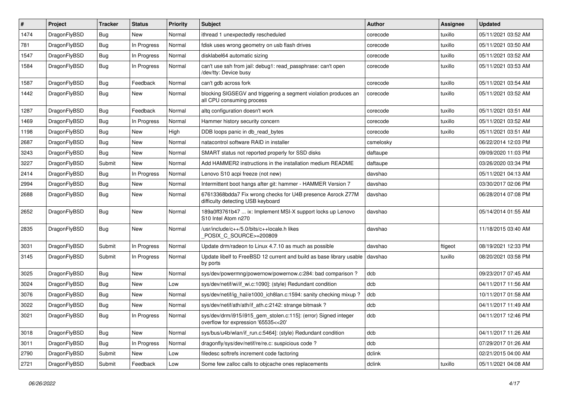| #    | Project      | Tracker    | <b>Status</b> | <b>Priority</b> | <b>Subject</b>                                                                                         | <b>Author</b> | Assignee | <b>Updated</b>      |
|------|--------------|------------|---------------|-----------------|--------------------------------------------------------------------------------------------------------|---------------|----------|---------------------|
| 1474 | DragonFlyBSD | <b>Bug</b> | New           | Normal          | ithread 1 unexpectedly rescheduled                                                                     | corecode      | tuxillo  | 05/11/2021 03:52 AM |
| 781  | DragonFlyBSD | <b>Bug</b> | In Progress   | Normal          | fdisk uses wrong geometry on usb flash drives                                                          | corecode      | tuxillo  | 05/11/2021 03:50 AM |
| 1547 | DragonFlyBSD | Bug        | In Progress   | Normal          | disklabel64 automatic sizing                                                                           | corecode      | tuxillo  | 05/11/2021 03:52 AM |
| 1584 | DragonFlyBSD | <b>Bug</b> | In Progress   | Normal          | can't use ssh from jail: debug1: read passphrase: can't open<br>/dev/tty: Device busy                  | corecode      | tuxillo  | 05/11/2021 03:53 AM |
| 1587 | DragonFlyBSD | <b>Bug</b> | Feedback      | Normal          | can't gdb across fork                                                                                  | corecode      | tuxillo  | 05/11/2021 03:54 AM |
| 1442 | DragonFlyBSD | <b>Bug</b> | New           | Normal          | blocking SIGSEGV and triggering a segment violation produces an<br>all CPU consuming process           | corecode      | tuxillo  | 05/11/2021 03:52 AM |
| 1287 | DragonFlyBSD | <b>Bug</b> | Feedback      | Normal          | altq configuration doesn't work                                                                        | corecode      | tuxillo  | 05/11/2021 03:51 AM |
| 1469 | DragonFlyBSD | Bug        | In Progress   | Normal          | Hammer history security concern                                                                        | corecode      | tuxillo  | 05/11/2021 03:52 AM |
| 1198 | DragonFlyBSD | <b>Bug</b> | <b>New</b>    | High            | DDB loops panic in db read bytes                                                                       | corecode      | tuxillo  | 05/11/2021 03:51 AM |
| 2687 | DragonFlyBSD | <b>Bug</b> | New           | Normal          | natacontrol software RAID in installer                                                                 | csmelosky     |          | 06/22/2014 12:03 PM |
| 3243 | DragonFlyBSD | <b>Bug</b> | New           | Normal          | SMART status not reported properly for SSD disks                                                       | daftaupe      |          | 09/09/2020 11:03 PM |
| 3227 | DragonFlyBSD | Submit     | New           | Normal          | Add HAMMER2 instructions in the installation medium README                                             | daftaupe      |          | 03/26/2020 03:34 PM |
| 2414 | DragonFlyBSD | <b>Bug</b> | In Progress   | Normal          | Lenovo S10 acpi freeze (not new)                                                                       | davshao       |          | 05/11/2021 04:13 AM |
| 2994 | DragonFlyBSD | Bug        | New           | Normal          | Intermittent boot hangs after git: hammer - HAMMER Version 7                                           | davshao       |          | 03/30/2017 02:06 PM |
| 2688 | DragonFlyBSD | Bug        | New           | Normal          | 67613368bdda7 Fix wrong checks for U4B presence Asrock Z77M<br>difficulty detecting USB keyboard       | davshao       |          | 06/28/2014 07:08 PM |
| 2652 | DragonFlyBSD | <b>Bug</b> | New           | Normal          | 189a0ff3761b47  ix: Implement MSI-X support locks up Lenovo<br>S10 Intel Atom n270                     | davshao       |          | 05/14/2014 01:55 AM |
| 2835 | DragonFlyBSD | <b>Bug</b> | New           | Normal          | /usr/include/c++/5.0/bits/c++locale.h likes<br>POSIX_C_SOURCE>=200809                                  | davshao       |          | 11/18/2015 03:40 AM |
| 3031 | DragonFlyBSD | Submit     | In Progress   | Normal          | Update drm/radeon to Linux 4.7.10 as much as possible                                                  | davshao       | ftigeot  | 08/19/2021 12:33 PM |
| 3145 | DragonFlyBSD | Submit     | In Progress   | Normal          | Update libelf to FreeBSD 12 current and build as base library usable<br>by ports                       | davshao       | tuxillo  | 08/20/2021 03:58 PM |
| 3025 | DragonFlyBSD | <b>Bug</b> | New           | Normal          | sys/dev/powermng/powernow/powernow.c:284: bad comparison?                                              | dcb           |          | 09/23/2017 07:45 AM |
| 3024 | DragonFlyBSD | Bug        | New           | Low             | sys/dev/netif/wi/if wi.c:1090]: (style) Redundant condition                                            | dcb           |          | 04/11/2017 11:56 AM |
| 3076 | DragonFlyBSD | Bug        | New           | Normal          | sys/dev/netif/ig hal/e1000 ich8lan.c:1594: sanity checking mixup?                                      | dcb           |          | 10/11/2017 01:58 AM |
| 3022 | DragonFlyBSD | <b>Bug</b> | New           | Normal          | sys/dev/netif/ath/ath/if_ath.c:2142: strange bitmask?                                                  | dcb           |          | 04/11/2017 11:49 AM |
| 3021 | DragonFlyBSD | <b>Bug</b> | In Progress   | Normal          | sys/dev/drm/i915/i915 gem stolen.c:115]: (error) Signed integer<br>overflow for expression '65535<<20' | dcb           |          | 04/11/2017 12:46 PM |
| 3018 | DragonFlyBSD | <b>Bug</b> | New           | Normal          | sys/bus/u4b/wlan/if_run.c:5464]: (style) Redundant condition                                           | dcb           |          | 04/11/2017 11:26 AM |
| 3011 | DragonFlyBSD | <b>Bug</b> | In Progress   | Normal          | dragonfly/sys/dev/netif/re/re.c: suspicious code ?                                                     | dcb           |          | 07/29/2017 01:26 AM |
| 2790 | DragonFlyBSD | Submit     | New           | Low             | filedesc softrefs increment code factoring                                                             | dclink        |          | 02/21/2015 04:00 AM |
| 2721 | DragonFlyBSD | Submit     | Feedback      | Low             | Some few zalloc calls to objcache ones replacements                                                    | dclink        | tuxillo  | 05/11/2021 04:08 AM |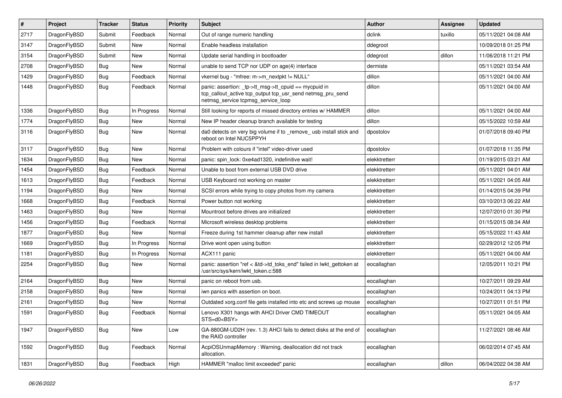| $\vert$ # | Project      | <b>Tracker</b> | <b>Status</b> | <b>Priority</b> | <b>Subject</b>                                                                                                                                            | <b>Author</b> | Assignee | <b>Updated</b>      |
|-----------|--------------|----------------|---------------|-----------------|-----------------------------------------------------------------------------------------------------------------------------------------------------------|---------------|----------|---------------------|
| 2717      | DragonFlyBSD | Submit         | Feedback      | Normal          | Out of range numeric handling                                                                                                                             | dclink        | tuxillo  | 05/11/2021 04:08 AM |
| 3147      | DragonFlyBSD | Submit         | <b>New</b>    | Normal          | Enable headless installation                                                                                                                              | ddegroot      |          | 10/09/2018 01:25 PM |
| 3154      | DragonFlyBSD | Submit         | <b>New</b>    | Normal          | Update serial handling in bootloader                                                                                                                      | ddegroot      | dillon   | 11/06/2018 11:21 PM |
| 2708      | DragonFlyBSD | Bug            | <b>New</b>    | Normal          | unable to send TCP nor UDP on age(4) interface                                                                                                            | dermiste      |          | 05/11/2021 03:54 AM |
| 1429      | DragonFlyBSD | Bug            | Feedback      | Normal          | vkernel bug - "mfree: m->m_nextpkt != NULL"                                                                                                               | dillon        |          | 05/11/2021 04:00 AM |
| 1448      | DragonFlyBSD | Bug            | Feedback      | Normal          | panic: assertion: _tp->tt_msg->tt_cpuid == mycpuid in<br>tcp_callout_active tcp_output tcp_usr_send netmsg_pru_send<br>netmsg_service tcpmsg_service_loop | dillon        |          | 05/11/2021 04:00 AM |
| 1336      | DragonFlyBSD | Bug            | In Progress   | Normal          | Still looking for reports of missed directory entries w/ HAMMER                                                                                           | dillon        |          | 05/11/2021 04:00 AM |
| 1774      | DragonFlyBSD | Bug            | <b>New</b>    | Normal          | New IP header cleanup branch available for testing                                                                                                        | dillon        |          | 05/15/2022 10:59 AM |
| 3116      | DragonFlyBSD | Bug            | <b>New</b>    | Normal          | da0 detects on very big volume if to _remove_ usb install stick and<br>reboot on Intel NUC5PPYH                                                           | dpostolov     |          | 01/07/2018 09:40 PM |
| 3117      | DragonFlyBSD | Bug            | <b>New</b>    | Normal          | Problem with colours if "intel" video-driver used                                                                                                         | dpostolov     |          | 01/07/2018 11:35 PM |
| 1634      | DragonFlyBSD | <b>Bug</b>     | New           | Normal          | panic: spin lock: 0xe4ad1320, indefinitive wait!                                                                                                          | elekktretterr |          | 01/19/2015 03:21 AM |
| 1454      | DragonFlyBSD | Bug            | Feedback      | Normal          | Unable to boot from external USB DVD drive                                                                                                                | elekktretterr |          | 05/11/2021 04:01 AM |
| 1613      | DragonFlyBSD | Bug            | Feedback      | Normal          | USB Keyboard not working on master                                                                                                                        | elekktretterr |          | 05/11/2021 04:05 AM |
| 1194      | DragonFlyBSD | <b>Bug</b>     | <b>New</b>    | Normal          | SCSI errors while trying to copy photos from my camera                                                                                                    | elekktretterr |          | 01/14/2015 04:39 PM |
| 1668      | DragonFlyBSD | <b>Bug</b>     | Feedback      | Normal          | Power button not working                                                                                                                                  | elekktretterr |          | 03/10/2013 06:22 AM |
| 1463      | DragonFlyBSD | <b>Bug</b>     | <b>New</b>    | Normal          | Mountroot before drives are initialized                                                                                                                   | elekktretterr |          | 12/07/2010 01:30 PM |
| 1456      | DragonFlyBSD | Bug            | Feedback      | Normal          | Microsoft wireless desktop problems                                                                                                                       | elekktretterr |          | 01/15/2015 08:34 AM |
| 1877      | DragonFlyBSD | <b>Bug</b>     | New           | Normal          | Freeze during 1st hammer cleanup after new install                                                                                                        | elekktretterr |          | 05/15/2022 11:43 AM |
| 1669      | DragonFlyBSD | <b>Bug</b>     | In Progress   | Normal          | Drive wont open using button                                                                                                                              | elekktretterr |          | 02/29/2012 12:05 PM |
| 1181      | DragonFlyBSD | Bug            | In Progress   | Normal          | ACX111 panic                                                                                                                                              | elekktretterr |          | 05/11/2021 04:00 AM |
| 2254      | DragonFlyBSD | <b>Bug</b>     | New           | Normal          | panic: assertion "ref < &td->td_toks_end" failed in lwkt_gettoken at<br>/usr/src/sys/kern/lwkt_token.c:588                                                | eocallaghan   |          | 12/05/2011 10:21 PM |
| 2164      | DragonFlyBSD | Bug            | <b>New</b>    | Normal          | panic on reboot from usb.                                                                                                                                 | eocallaghan   |          | 10/27/2011 09:29 AM |
| 2158      | DragonFlyBSD | <b>Bug</b>     | <b>New</b>    | Normal          | iwn panics with assertion on boot.                                                                                                                        | eocallaghan   |          | 10/24/2011 04:13 PM |
| 2161      | DragonFlyBSD | Bug            | <b>New</b>    | Normal          | Outdated xorg.conf file gets installed into etc and screws up mouse                                                                                       | eocallaghan   |          | 10/27/2011 01:51 PM |
| 1591      | DragonFlyBSD | Bug            | Feedback      | Normal          | Lenovo X301 hangs with AHCI Driver CMD TIMEOUT<br>STS=d0 <bsy></bsy>                                                                                      | eocallaghan   |          | 05/11/2021 04:05 AM |
| 1947      | DragonFlyBSD | <b>Bug</b>     | New           | Low             | GA-880GM-UD2H (rev. 1.3) AHCI fails to detect disks at the end of<br>the RAID controller                                                                  | eocallaghan   |          | 11/27/2021 08:46 AM |
| 1592      | DragonFlyBSD | <b>Bug</b>     | Feedback      | Normal          | AcpiOSUnmapMemory: Warning, deallocation did not track<br>allocation.                                                                                     | eocallaghan   |          | 06/02/2014 07:45 AM |
| 1831      | DragonFlyBSD | <b>Bug</b>     | Feedback      | High            | HAMMER "malloc limit exceeded" panic                                                                                                                      | eocallaghan   | dillon   | 06/04/2022 04:38 AM |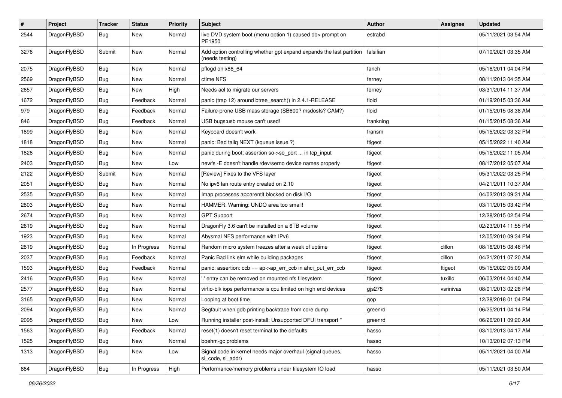| $\sharp$ | Project      | <b>Tracker</b> | <b>Status</b> | <b>Priority</b> | Subject                                                                                 | <b>Author</b> | <b>Assignee</b> | <b>Updated</b>      |
|----------|--------------|----------------|---------------|-----------------|-----------------------------------------------------------------------------------------|---------------|-----------------|---------------------|
| 2544     | DragonFlyBSD | Bug            | New           | Normal          | live DVD system boot (menu option 1) caused db> prompt on<br>PE1950                     | estrabd       |                 | 05/11/2021 03:54 AM |
| 3276     | DragonFlyBSD | Submit         | <b>New</b>    | Normal          | Add option controlling whether gpt expand expands the last partition<br>(needs testing) | falsifian     |                 | 07/10/2021 03:35 AM |
| 2075     | DragonFlyBSD | Bug            | <b>New</b>    | Normal          | pflogd on x86_64                                                                        | fanch         |                 | 05/16/2011 04:04 PM |
| 2569     | DragonFlyBSD | Bug            | New           | Normal          | ctime NFS                                                                               | ferney        |                 | 08/11/2013 04:35 AM |
| 2657     | DragonFlyBSD | <b>Bug</b>     | <b>New</b>    | High            | Needs acl to migrate our servers                                                        | ferney        |                 | 03/31/2014 11:37 AM |
| 1672     | DragonFlyBSD | <b>Bug</b>     | Feedback      | Normal          | panic (trap 12) around btree_search() in 2.4.1-RELEASE                                  | floid         |                 | 01/19/2015 03:36 AM |
| 979      | DragonFlyBSD | <b>Bug</b>     | Feedback      | Normal          | Failure-prone USB mass storage (SB600? msdosfs? CAM?)                                   | floid         |                 | 01/15/2015 08:38 AM |
| 846      | DragonFlyBSD | <b>Bug</b>     | Feedback      | Normal          | USB bugs:usb mouse can't used!                                                          | frankning     |                 | 01/15/2015 08:36 AM |
| 1899     | DragonFlyBSD | <b>Bug</b>     | New           | Normal          | Keyboard doesn't work                                                                   | fransm        |                 | 05/15/2022 03:32 PM |
| 1818     | DragonFlyBSD | <b>Bug</b>     | <b>New</b>    | Normal          | panic: Bad tailq NEXT (kqueue issue ?)                                                  | ftigeot       |                 | 05/15/2022 11:40 AM |
| 1826     | DragonFlyBSD | <b>Bug</b>     | New           | Normal          | panic during boot: assertion so->so_port  in tcp_input                                  | ftigeot       |                 | 05/15/2022 11:05 AM |
| 2403     | DragonFlyBSD | <b>Bug</b>     | New           | Low             | newfs -E doesn't handle /dev/serno device names properly                                | ftigeot       |                 | 08/17/2012 05:07 AM |
| 2122     | DragonFlyBSD | Submit         | <b>New</b>    | Normal          | [Review] Fixes to the VFS layer                                                         | ftigeot       |                 | 05/31/2022 03:25 PM |
| 2051     | DragonFlyBSD | <b>Bug</b>     | <b>New</b>    | Normal          | No ipv6 lan route entry created on 2.10                                                 | ftigeot       |                 | 04/21/2011 10:37 AM |
| 2535     | DragonFlyBSD | <b>Bug</b>     | <b>New</b>    | Normal          | Imap processes apparentlt blocked on disk I/O                                           | ftigeot       |                 | 04/02/2013 09:31 AM |
| 2803     | DragonFlyBSD | <b>Bug</b>     | <b>New</b>    | Normal          | HAMMER: Warning: UNDO area too small!                                                   | ftigeot       |                 | 03/11/2015 03:42 PM |
| 2674     | DragonFlyBSD | <b>Bug</b>     | New           | Normal          | <b>GPT Support</b>                                                                      | ftigeot       |                 | 12/28/2015 02:54 PM |
| 2619     | DragonFlyBSD | <b>Bug</b>     | <b>New</b>    | Normal          | DragonFly 3.6 can't be installed on a 6TB volume                                        | ftigeot       |                 | 02/23/2014 11:55 PM |
| 1923     | DragonFlyBSD | <b>Bug</b>     | New           | Normal          | Abysmal NFS performance with IPv6                                                       | ftigeot       |                 | 12/05/2010 09:34 PM |
| 2819     | DragonFlyBSD | <b>Bug</b>     | In Progress   | Normal          | Random micro system freezes after a week of uptime                                      | ftigeot       | dillon          | 08/16/2015 08:46 PM |
| 2037     | DragonFlyBSD | <b>Bug</b>     | Feedback      | Normal          | Panic Bad link elm while building packages                                              | ftigeot       | dillon          | 04/21/2011 07:20 AM |
| 1593     | DragonFlyBSD | <b>Bug</b>     | Feedback      | Normal          | panic: assertion: ccb == ap->ap_err_ccb in ahci_put_err_ccb                             | ftigeot       | ftigeot         | 05/15/2022 05:09 AM |
| 2416     | DragonFlyBSD | <b>Bug</b>     | <b>New</b>    | Normal          | ' entry can be removed on mounted nfs filesystem                                        | ftigeot       | tuxillo         | 06/03/2014 04:40 AM |
| 2577     | DragonFlyBSD | <b>Bug</b>     | New           | Normal          | virtio-blk iops performance is cpu limited on high end devices                          | gjs278        | vsrinivas       | 08/01/2013 02:28 PM |
| 3165     | DragonFlyBSD | <b>Bug</b>     | New           | Normal          | Looping at boot time                                                                    | gop           |                 | 12/28/2018 01:04 PM |
| 2094     | DragonFlyBSD | Bug            | New           | Normal          | Segfault when gdb printing backtrace from core dump                                     | greenrd       |                 | 06/25/2011 04:14 PM |
| 2095     | DragonFlyBSD | Bug            | New           | Low             | Running installer post-install: Unsupported DFUI transport "                            | greenrd       |                 | 06/26/2011 09:20 AM |
| 1563     | DragonFlyBSD | Bug            | Feedback      | Normal          | reset(1) doesn't reset terminal to the defaults                                         | hasso         |                 | 03/10/2013 04:17 AM |
| 1525     | DragonFlyBSD | <b>Bug</b>     | New           | Normal          | boehm-gc problems                                                                       | hasso         |                 | 10/13/2012 07:13 PM |
| 1313     | DragonFlyBSD | Bug            | New           | Low             | Signal code in kernel needs major overhaul (signal queues,<br>si_code, si_addr)         | hasso         |                 | 05/11/2021 04:00 AM |
| 884      | DragonFlyBSD | <b>Bug</b>     | In Progress   | High            | Performance/memory problems under filesystem IO load                                    | hasso         |                 | 05/11/2021 03:50 AM |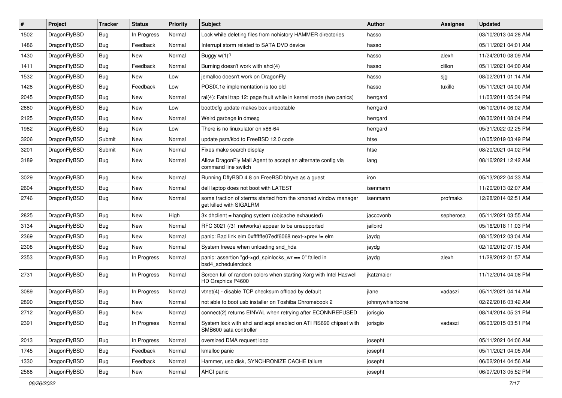| #    | Project      | <b>Tracker</b> | <b>Status</b> | <b>Priority</b> | <b>Subject</b>                                                                             | <b>Author</b>   | <b>Assignee</b> | <b>Updated</b>      |
|------|--------------|----------------|---------------|-----------------|--------------------------------------------------------------------------------------------|-----------------|-----------------|---------------------|
| 1502 | DragonFlyBSD | Bug            | In Progress   | Normal          | Lock while deleting files from nohistory HAMMER directories                                | hasso           |                 | 03/10/2013 04:28 AM |
| 1486 | DragonFlyBSD | Bug            | Feedback      | Normal          | Interrupt storm related to SATA DVD device                                                 | hasso           |                 | 05/11/2021 04:01 AM |
| 1430 | DragonFlyBSD | <b>Bug</b>     | New           | Normal          | Buggy w(1)?                                                                                | hasso           | alexh           | 11/24/2010 08:09 AM |
| 1411 | DragonFlyBSD | <b>Bug</b>     | Feedback      | Normal          | Burning doesn't work with ahci(4)                                                          | hasso           | dillon          | 05/11/2021 04:00 AM |
| 1532 | DragonFlyBSD | Bug            | New           | Low             | jemalloc doesn't work on DragonFly                                                         | hasso           | sjg             | 08/02/2011 01:14 AM |
| 1428 | DragonFlyBSD | <b>Bug</b>     | Feedback      | Low             | POSIX.1e implementation is too old                                                         | hasso           | tuxillo         | 05/11/2021 04:00 AM |
| 2045 | DragonFlyBSD | <b>Bug</b>     | New           | Normal          | ral(4): Fatal trap 12: page fault while in kernel mode (two panics)                        | herrgard        |                 | 11/03/2011 05:34 PM |
| 2680 | DragonFlyBSD | <b>Bug</b>     | <b>New</b>    | Low             | boot0cfg update makes box unbootable                                                       | herrgard        |                 | 06/10/2014 06:02 AM |
| 2125 | DragonFlyBSD | <b>Bug</b>     | New           | Normal          | Weird garbage in dmesg                                                                     | herrgard        |                 | 08/30/2011 08:04 PM |
| 1982 | DragonFlyBSD | Bug            | <b>New</b>    | Low             | There is no linuxulator on x86-64                                                          | herrgard        |                 | 05/31/2022 02:25 PM |
| 3206 | DragonFlyBSD | Submit         | New           | Normal          | update psm/kbd to FreeBSD 12.0 code                                                        | htse            |                 | 10/05/2019 03:49 PM |
| 3201 | DragonFlyBSD | Submit         | New           | Normal          | Fixes make search display                                                                  | htse            |                 | 08/20/2021 04:02 PM |
| 3189 | DragonFlyBSD | Bug            | New           | Normal          | Allow DragonFly Mail Agent to accept an alternate config via<br>command line switch        | iang            |                 | 08/16/2021 12:42 AM |
| 3029 | DragonFlyBSD | Bug            | <b>New</b>    | Normal          | Running DflyBSD 4.8 on FreeBSD bhyve as a guest                                            | iron            |                 | 05/13/2022 04:33 AM |
| 2604 | DragonFlyBSD | <b>Bug</b>     | New           | Normal          | dell laptop does not boot with LATEST                                                      | isenmann        |                 | 11/20/2013 02:07 AM |
| 2746 | DragonFlyBSD | <b>Bug</b>     | New           | Normal          | some fraction of xterms started from the xmonad window manager<br>get killed with SIGALRM  | isenmann        | profmakx        | 12/28/2014 02:51 AM |
| 2825 | DragonFlyBSD | Bug            | <b>New</b>    | High            | 3x dhclient = hanging system (objcache exhausted)                                          | jaccovonb       | sepherosa       | 05/11/2021 03:55 AM |
| 3134 | DragonFlyBSD | <b>Bug</b>     | New           | Normal          | RFC 3021 (/31 networks) appear to be unsupported                                           | jailbird        |                 | 05/16/2018 11:03 PM |
| 2369 | DragonFlyBSD | <b>Bug</b>     | <b>New</b>    | Normal          | panic: Bad link elm 0xffffffe07edf6068 next->prev != elm                                   | jaydg           |                 | 08/15/2012 03:04 AM |
| 2308 | DragonFlyBSD | <b>Bug</b>     | New           | Normal          | System freeze when unloading snd_hda                                                       | jaydg           |                 | 02/19/2012 07:15 AM |
| 2353 | DragonFlyBSD | Bug            | In Progress   | Normal          | panic: assertion "gd->gd_spinlocks_wr == 0" failed in<br>bsd4_schedulerclock               | jaydg           | alexh           | 11/28/2012 01:57 AM |
| 2731 | DragonFlyBSD | Bug            | In Progress   | Normal          | Screen full of random colors when starting Xorg with Intel Haswell<br>HD Graphics P4600    | jkatzmaier      |                 | 11/12/2014 04:08 PM |
| 3089 | DragonFlyBSD | Bug            | In Progress   | Normal          | vtnet(4) - disable TCP checksum offload by default                                         | jlane           | vadaszi         | 05/11/2021 04:14 AM |
| 2890 | DragonFlyBSD | <b>Bug</b>     | <b>New</b>    | Normal          | not able to boot usb installer on Toshiba Chromebook 2                                     | johnnywhishbone |                 | 02/22/2016 03:42 AM |
| 2712 | DragonFlyBSD | Bug            | New           | Normal          | connect(2) returns EINVAL when retrying after ECONNREFUSED                                 | jorisgio        |                 | 08/14/2014 05:31 PM |
| 2391 | DragonFlyBSD | <b>Bug</b>     | In Progress   | Normal          | System lock with ahci and acpi enabled on ATI RS690 chipset with<br>SMB600 sata controller | jorisgio        | vadaszi         | 06/03/2015 03:51 PM |
| 2013 | DragonFlyBSD | <b>Bug</b>     | In Progress   | Normal          | oversized DMA request loop                                                                 | josepht         |                 | 05/11/2021 04:06 AM |
| 1745 | DragonFlyBSD | <b>Bug</b>     | Feedback      | Normal          | kmalloc panic                                                                              | josepht         |                 | 05/11/2021 04:05 AM |
| 1330 | DragonFlyBSD | <b>Bug</b>     | Feedback      | Normal          | Hammer, usb disk, SYNCHRONIZE CACHE failure                                                | josepht         |                 | 06/02/2014 04:56 AM |
| 2568 | DragonFlyBSD | <b>Bug</b>     | New           | Normal          | AHCI panic                                                                                 | josepht         |                 | 06/07/2013 05:52 PM |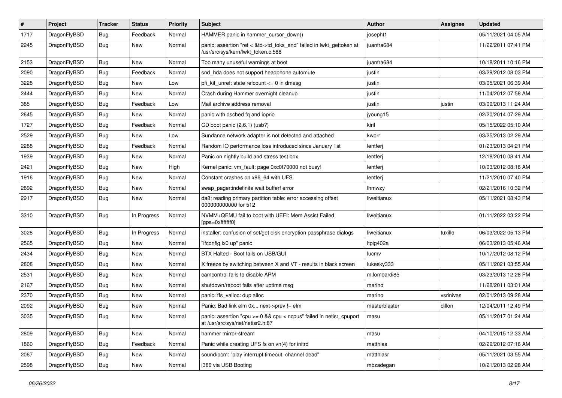| $\sharp$ | Project      | <b>Tracker</b> | <b>Status</b> | <b>Priority</b> | <b>Subject</b>                                                                                             | Author        | <b>Assignee</b> | <b>Updated</b>      |
|----------|--------------|----------------|---------------|-----------------|------------------------------------------------------------------------------------------------------------|---------------|-----------------|---------------------|
| 1717     | DragonFlyBSD | <b>Bug</b>     | Feedback      | Normal          | HAMMER panic in hammer_cursor_down()                                                                       | josepht1      |                 | 05/11/2021 04:05 AM |
| 2245     | DragonFlyBSD | <b>Bug</b>     | <b>New</b>    | Normal          | panic: assertion "ref < &td->td_toks_end" failed in lwkt_gettoken at<br>/usr/src/sys/kern/lwkt token.c:588 | juanfra684    |                 | 11/22/2011 07:41 PM |
| 2153     | DragonFlyBSD | Bug            | New           | Normal          | Too many unuseful warnings at boot                                                                         | juanfra684    |                 | 10/18/2011 10:16 PM |
| 2090     | DragonFlyBSD | <b>Bug</b>     | Feedback      | Normal          | snd_hda does not support headphone automute                                                                | justin        |                 | 03/29/2012 08:03 PM |
| 3228     | DragonFlyBSD | <b>Bug</b>     | New           | Low             | pfi kif unref: state refcount $\leq$ 0 in dmesg                                                            | justin        |                 | 03/05/2021 06:39 AM |
| 2444     | DragonFlyBSD | Bug            | New           | Normal          | Crash during Hammer overnight cleanup                                                                      | justin        |                 | 11/04/2012 07:58 AM |
| 385      | DragonFlyBSD | <b>Bug</b>     | Feedback      | Low             | Mail archive address removal                                                                               | justin        | justin          | 03/09/2013 11:24 AM |
| 2645     | DragonFlyBSD | <b>Bug</b>     | New           | Normal          | panic with dsched fq and ioprio                                                                            | jyoung15      |                 | 02/20/2014 07:29 AM |
| 1727     | DragonFlyBSD | Bug            | Feedback      | Normal          | CD boot panic (2.6.1) (usb?)                                                                               | kiril         |                 | 05/15/2022 05:10 AM |
| 2529     | DragonFlyBSD | <b>Bug</b>     | New           | Low             | Sundance network adapter is not detected and attached                                                      | kworr         |                 | 03/25/2013 02:29 AM |
| 2288     | DragonFlyBSD | <b>Bug</b>     | Feedback      | Normal          | Random IO performance loss introduced since January 1st                                                    | lentferj      |                 | 01/23/2013 04:21 PM |
| 1939     | DragonFlyBSD | Bug            | New           | Normal          | Panic on nightly build and stress test box                                                                 | lentferj      |                 | 12/18/2010 08:41 AM |
| 2421     | DragonFlyBSD | <b>Bug</b>     | New           | High            | Kernel panic: vm_fault: page 0xc0f70000 not busy!                                                          | lentferj      |                 | 10/03/2012 08:16 AM |
| 1916     | DragonFlyBSD | Bug            | New           | Normal          | Constant crashes on x86_64 with UFS                                                                        | lentferj      |                 | 11/21/2010 07:40 PM |
| 2892     | DragonFlyBSD | <b>Bug</b>     | New           | Normal          | swap_pager:indefinite wait bufferf error                                                                   | lhmwzy        |                 | 02/21/2016 10:32 PM |
| 2917     | DragonFlyBSD | <b>Bug</b>     | <b>New</b>    | Normal          | da8: reading primary partition table: error accessing offset<br>000000000000 for 512                       | liweitianux   |                 | 05/11/2021 08:43 PM |
| 3310     | DragonFlyBSD | <b>Bug</b>     | In Progress   | Normal          | NVMM+QEMU fail to boot with UEFI: Mem Assist Failed<br>[gpa=0xfffffff0]                                    | liweitianux   |                 | 01/11/2022 03:22 PM |
| 3028     | DragonFlyBSD | <b>Bug</b>     | In Progress   | Normal          | installer: confusion of set/get disk encryption passphrase dialogs                                         | liweitianux   | tuxillo         | 06/03/2022 05:13 PM |
| 2565     | DragonFlyBSD | <b>Bug</b>     | <b>New</b>    | Normal          | "ifconfig ix0 up" panic                                                                                    | Itpig402a     |                 | 06/03/2013 05:46 AM |
| 2434     | DragonFlyBSD | Bug            | <b>New</b>    | Normal          | BTX Halted - Boot fails on USB/GUI                                                                         | lucmv         |                 | 10/17/2012 08:12 PM |
| 2808     | DragonFlyBSD | Bug            | New           | Normal          | X freeze by switching between X and VT - results in black screen                                           | lukesky333    |                 | 05/11/2021 03:55 AM |
| 2531     | DragonFlyBSD | Bug            | New           | Normal          | camcontrol fails to disable APM                                                                            | m.lombardi85  |                 | 03/23/2013 12:28 PM |
| 2167     | DragonFlyBSD | Bug            | New           | Normal          | shutdown/reboot fails after uptime msg                                                                     | marino        |                 | 11/28/2011 03:01 AM |
| 2370     | DragonFlyBSD | Bug            | <b>New</b>    | Normal          | panic: ffs_valloc: dup alloc                                                                               | marino        | vsrinivas       | 02/01/2013 09:28 AM |
| 2092     | DragonFlyBSD | Bug            | New           | Normal          | Panic: Bad link elm 0x next->prev != elm                                                                   | masterblaster | dillon          | 12/04/2011 12:49 PM |
| 3035     | DragonFlyBSD | i Bug          | <b>New</b>    | Normal          | panic: assertion "cpu >= 0 && cpu < ncpus" failed in netisr_cpuport<br>at /usr/src/sys/net/netisr2.h:87    | masu          |                 | 05/11/2017 01:24 AM |
| 2809     | DragonFlyBSD | <b>Bug</b>     | New           | Normal          | hammer mirror-stream                                                                                       | masu          |                 | 04/10/2015 12:33 AM |
| 1860     | DragonFlyBSD | <b>Bug</b>     | Feedback      | Normal          | Panic while creating UFS fs on vn(4) for initrd                                                            | matthias      |                 | 02/29/2012 07:16 AM |
| 2067     | DragonFlyBSD | <b>Bug</b>     | New           | Normal          | sound/pcm: "play interrupt timeout, channel dead"                                                          | matthiasr     |                 | 05/11/2021 03:55 AM |
| 2598     | DragonFlyBSD | <b>Bug</b>     | New           | Normal          | i386 via USB Booting                                                                                       | mbzadegan     |                 | 10/21/2013 02:28 AM |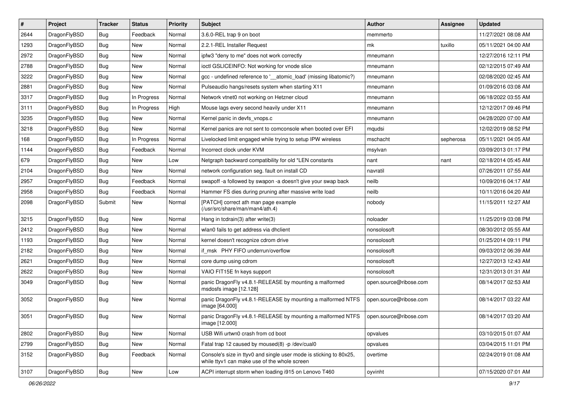| #    | Project      | <b>Tracker</b> | <b>Status</b> | <b>Priority</b> | <b>Subject</b>                                                                                                     | <b>Author</b>          | Assignee  | <b>Updated</b>      |
|------|--------------|----------------|---------------|-----------------|--------------------------------------------------------------------------------------------------------------------|------------------------|-----------|---------------------|
| 2644 | DragonFlyBSD | Bug            | Feedback      | Normal          | 3.6.0-REL trap 9 on boot                                                                                           | memmerto               |           | 11/27/2021 08:08 AM |
| 1293 | DragonFlyBSD | Bug            | <b>New</b>    | Normal          | 2.2.1-REL Installer Request                                                                                        | mk                     | tuxillo   | 05/11/2021 04:00 AM |
| 2972 | DragonFlyBSD | Bug            | New           | Normal          | ipfw3 "deny to me" does not work correctly                                                                         | mneumann               |           | 12/27/2016 12:11 PM |
| 2788 | DragonFlyBSD | Bug            | New           | Normal          | ioctl GSLICEINFO: Not working for vnode slice                                                                      | mneumann               |           | 02/12/2015 07:49 AM |
| 3222 | DragonFlyBSD | Bug            | <b>New</b>    | Normal          | gcc - undefined reference to '__atomic_load' (missing libatomic?)                                                  | mneumann               |           | 02/08/2020 02:45 AM |
| 2881 | DragonFlyBSD | Bug            | New           | Normal          | Pulseaudio hangs/resets system when starting X11                                                                   | mneumann               |           | 01/09/2016 03:08 AM |
| 3317 | DragonFlyBSD | Bug            | In Progress   | Normal          | Network vtnet0 not working on Hetzner cloud                                                                        | mneumann               |           | 06/18/2022 03:55 AM |
| 3111 | DragonFlyBSD | Bug            | In Progress   | High            | Mouse lags every second heavily under X11                                                                          | mneumann               |           | 12/12/2017 09:46 PM |
| 3235 | DragonFlyBSD | Bug            | <b>New</b>    | Normal          | Kernel panic in devfs_vnops.c                                                                                      | mneumann               |           | 04/28/2020 07:00 AM |
| 3218 | DragonFlyBSD | Bug            | New           | Normal          | Kernel panics are not sent to comconsole when booted over EFI                                                      | mqudsi                 |           | 12/02/2019 08:52 PM |
| 168  | DragonFlyBSD | Bug            | In Progress   | Normal          | Livelocked limit engaged while trying to setup IPW wireless                                                        | mschacht               | sepherosa | 05/11/2021 04:05 AM |
| 1144 | DragonFlyBSD | Bug            | Feedback      | Normal          | Incorrect clock under KVM                                                                                          | msylvan                |           | 03/09/2013 01:17 PM |
| 679  | DragonFlyBSD | Bug            | New           | Low             | Netgraph backward compatibility for old *LEN constants                                                             | nant                   | nant      | 02/18/2014 05:45 AM |
| 2104 | DragonFlyBSD | Bug            | New           | Normal          | network configuration seg. fault on install CD                                                                     | navratil               |           | 07/26/2011 07:55 AM |
| 2957 | DragonFlyBSD | Bug            | Feedback      | Normal          | swapoff -a followed by swapon -a doesn't give your swap back                                                       | neilb                  |           | 10/09/2016 04:17 AM |
| 2958 | DragonFlyBSD | Bug            | Feedback      | Normal          | Hammer FS dies during pruning after massive write load                                                             | neilb                  |           | 10/11/2016 04:20 AM |
| 2098 | DragonFlyBSD | Submit         | New           | Normal          | [PATCH] correct ath man page example<br>(/usr/src/share/man/man4/ath.4)                                            | nobody                 |           | 11/15/2011 12:27 AM |
| 3215 | DragonFlyBSD | Bug            | New           | Normal          | Hang in todrain(3) after write(3)                                                                                  | noloader               |           | 11/25/2019 03:08 PM |
| 2412 | DragonFlyBSD | Bug            | New           | Normal          | wlan0 fails to get address via dhclient                                                                            | nonsolosoft            |           | 08/30/2012 05:55 AM |
| 1193 | DragonFlyBSD | Bug            | New           | Normal          | kernel doesn't recognize cdrom drive                                                                               | nonsolosoft            |           | 01/25/2014 09:11 PM |
| 2182 | DragonFlyBSD | Bug            | <b>New</b>    | Normal          | if_msk PHY FIFO underrun/overflow                                                                                  | nonsolosoft            |           | 09/03/2012 06:39 AM |
| 2621 | DragonFlyBSD | Bug            | <b>New</b>    | Normal          | core dump using cdrom                                                                                              | nonsolosoft            |           | 12/27/2013 12:43 AM |
| 2622 | DragonFlyBSD | Bug            | New           | Normal          | VAIO FIT15E fn keys support                                                                                        | nonsolosoft            |           | 12/31/2013 01:31 AM |
| 3049 | DragonFlyBSD | Bug            | New           | Normal          | panic DragonFly v4.8.1-RELEASE by mounting a malformed<br>msdosfs image [12.128]                                   | open.source@ribose.com |           | 08/14/2017 02:53 AM |
| 3052 | DragonFlyBSD | Bug            | New           | Normal          | panic DragonFly v4.8.1-RELEASE by mounting a malformed NTFS<br>image [64.000]                                      | open.source@ribose.com |           | 08/14/2017 03:22 AM |
| 3051 | DragonFlyBSD | Bug            | New           | Normal          | panic DragonFly v4.8.1-RELEASE by mounting a malformed NTFS<br>image [12.000]                                      | open.source@ribose.com |           | 08/14/2017 03:20 AM |
| 2802 | DragonFlyBSD | <b>Bug</b>     | <b>New</b>    | Normal          | USB Wifi urtwn0 crash from cd boot                                                                                 | opvalues               |           | 03/10/2015 01:07 AM |
| 2799 | DragonFlyBSD | <b>Bug</b>     | New           | Normal          | Fatal trap 12 caused by moused(8) -p /dev/cual0                                                                    | opvalues               |           | 03/04/2015 11:01 PM |
| 3152 | DragonFlyBSD | <b>Bug</b>     | Feedback      | Normal          | Console's size in ttyv0 and single user mode is sticking to 80x25,<br>while ttyv1 can make use of the whole screen | overtime               |           | 02/24/2019 01:08 AM |
| 3107 | DragonFlyBSD | Bug            | New           | Low             | ACPI interrupt storm when loading i915 on Lenovo T460                                                              | oyvinht                |           | 07/15/2020 07:01 AM |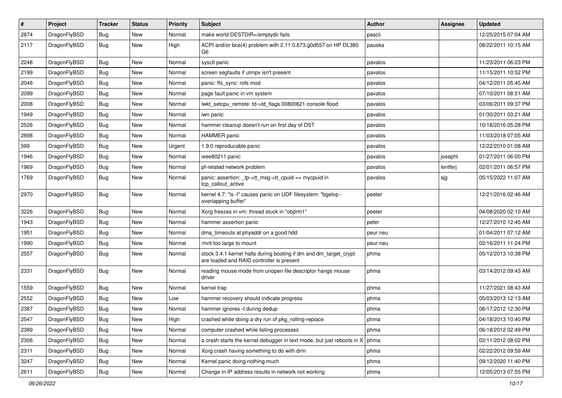| $\pmb{\#}$ | Project      | <b>Tracker</b> | <b>Status</b> | <b>Priority</b> | Subject                                                                                                        | <b>Author</b> | Assignee | <b>Updated</b>      |
|------------|--------------|----------------|---------------|-----------------|----------------------------------------------------------------------------------------------------------------|---------------|----------|---------------------|
| 2874       | DragonFlyBSD | Bug            | New           | Normal          | make world DESTDIR=/emptydir fails                                                                             | pascii        |          | 12/25/2015 07:04 AM |
| 2117       | DragonFlyBSD | Bug            | New           | High            | ACPI and/or bce(4) problem with 2.11.0.673.g0d557 on HP DL380<br>G6                                            | pauska        |          | 08/22/2011 10:15 AM |
| 2248       | DragonFlyBSD | <b>Bug</b>     | New           | Normal          | sysctl panic                                                                                                   | pavalos       |          | 11/23/2011 06:23 PM |
| 2199       | DragonFlyBSD | Bug            | <b>New</b>    | Normal          | screen segfaults if utmpx isn't present                                                                        | pavalos       |          | 11/15/2011 10:52 PM |
| 2048       | DragonFlyBSD | <b>Bug</b>     | New           | Normal          | panic: ffs_sync: rofs mod                                                                                      | pavalos       |          | 04/12/2011 05:45 AM |
| 2099       | DragonFlyBSD | Bug            | New           | Normal          | page fault panic in vm system                                                                                  | pavalos       |          | 07/10/2011 08:51 AM |
| 2008       | DragonFlyBSD | Bug            | <b>New</b>    | Normal          | lwkt_setcpu_remote: td->td_flags 00800621 console flood                                                        | pavalos       |          | 03/06/2011 09:37 PM |
| 1949       | DragonFlyBSD | Bug            | <b>New</b>    | Normal          | iwn panic                                                                                                      | pavalos       |          | 01/30/2011 03:21 AM |
| 2526       | DragonFlyBSD | Bug            | <b>New</b>    | Normal          | hammer cleanup doesn't run on first day of DST                                                                 | pavalos       |          | 10/18/2016 05:28 PM |
| 2898       | DragonFlyBSD | Bug            | New           | Normal          | <b>HAMMER</b> panic                                                                                            | pavalos       |          | 11/03/2018 07:05 AM |
| 599        | DragonFlyBSD | Bug            | New           | Urgent          | 1.9.0 reproducable panic                                                                                       | pavalos       |          | 12/22/2010 01:08 AM |
| 1946       | DragonFlyBSD | <b>Bug</b>     | <b>New</b>    | Normal          | ieee80211 panic                                                                                                | pavalos       | josepht  | 01/27/2011 06:00 PM |
| 1969       | DragonFlyBSD | Bug            | <b>New</b>    | Normal          | pf-related network problem                                                                                     | pavalos       | lentferj | 02/01/2011 06:57 PM |
| 1769       | DragonFlyBSD | Bug            | New           | Normal          | panic: assertion: _tp->tt_msg->tt_cpuid == mycpuid in<br>tcp callout active                                    | pavalos       | sjg      | 05/15/2022 11:07 AM |
| 2970       | DragonFlyBSD | Bug            | New           | Normal          | kernel 4.7: "Is -I" causes panic on UDF filesystem: "bgetvp -<br>overlapping buffer"                           | peeter        |          | 12/21/2016 02:46 AM |
| 3226       | DragonFlyBSD | <b>Bug</b>     | <b>New</b>    | Normal          | Xorg freezes in vm: thread stuck in "objtrm1"                                                                  | peeter        |          | 04/08/2020 02:10 AM |
| 1943       | DragonFlyBSD | Bug            | New           | Normal          | hammer assertion panic                                                                                         | peter         |          | 12/27/2010 12:45 AM |
| 1951       | DragonFlyBSD | <b>Bug</b>     | New           | Normal          | dma_timeouts at phyaddr on a good hdd                                                                          | peur.neu      |          | 01/04/2011 07:12 AM |
| 1990       | DragonFlyBSD | <b>Bug</b>     | <b>New</b>    | Normal          | /mnt too large to mount                                                                                        | peur.neu      |          | 02/16/2011 11:24 PM |
| 2557       | DragonFlyBSD | Bug            | New           | Normal          | stock 3.4.1 kernel halts during booting if dm and dm_target_crypt<br>are loaded and RAID controller is present | phma          |          | 05/12/2013 10:38 PM |
| 2331       | DragonFlyBSD | Bug            | New           | Normal          | reading mouse mode from unopen file descriptor hangs mouse<br>driver                                           | phma          |          | 03/14/2012 09:43 AM |
| 1559       | DragonFlyBSD | Bug            | New           | Normal          | kernel trap                                                                                                    | phma          |          | 11/27/2021 08:43 AM |
| 2552       | DragonFlyBSD | Bug            | <b>New</b>    | Low             | hammer recovery should indicate progress                                                                       | phma          |          | 05/03/2013 12:13 AM |
| 2387       | DragonFlyBSD | Bug            | New           | Normal          | hammer ignores -t during dedup                                                                                 | phma          |          | 06/17/2012 12:30 PM |
| 2547       | DragonFlyBSD | Bug            | New           | High            | crashed while doing a dry run of pkg_rolling-replace                                                           | phma          |          | 04/18/2013 10:40 PM |
| 2389       | DragonFlyBSD | <b>Bug</b>     | New           | Normal          | computer crashed while listing processes                                                                       | phma          |          | 06/18/2012 02:49 PM |
| 2306       | DragonFlyBSD | <b>Bug</b>     | New           | Normal          | a crash starts the kernel debugger in text mode, but just reboots in $X \mid p$ hma                            |               |          | 02/11/2012 08:02 PM |
| 2311       | DragonFlyBSD | <b>Bug</b>     | New           | Normal          | Xorg crash having something to do with drm                                                                     | phma          |          | 02/22/2012 09:59 AM |
| 3247       | DragonFlyBSD | <b>Bug</b>     | New           | Normal          | Kernel panic doing nothing much                                                                                | phma          |          | 09/12/2020 11:40 PM |
| 2611       | DragonFlyBSD | Bug            | New           | Normal          | Change in IP address results in network not working                                                            | phma          |          | 12/05/2013 07:55 PM |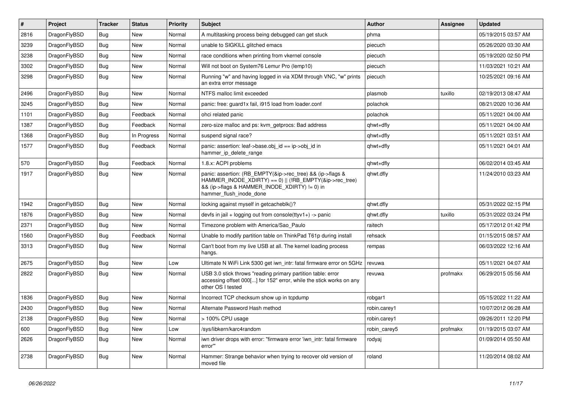| $\vert$ # | Project      | <b>Tracker</b> | <b>Status</b> | <b>Priority</b> | <b>Subject</b>                                                                                                                                                                                    | <b>Author</b> | Assignee | <b>Updated</b>      |
|-----------|--------------|----------------|---------------|-----------------|---------------------------------------------------------------------------------------------------------------------------------------------------------------------------------------------------|---------------|----------|---------------------|
| 2816      | DragonFlyBSD | Bug            | <b>New</b>    | Normal          | A multitasking process being debugged can get stuck                                                                                                                                               | phma          |          | 05/19/2015 03:57 AM |
| 3239      | DragonFlyBSD | Bug            | <b>New</b>    | Normal          | unable to SIGKILL glitched emacs                                                                                                                                                                  | piecuch       |          | 05/26/2020 03:30 AM |
| 3238      | DragonFlyBSD | Bug            | <b>New</b>    | Normal          | race conditions when printing from vkernel console                                                                                                                                                | piecuch       |          | 05/19/2020 02:50 PM |
| 3302      | DragonFlyBSD | Bug            | <b>New</b>    | Normal          | Will not boot on System76 Lemur Pro (lemp10)                                                                                                                                                      | piecuch       |          | 11/03/2021 10:21 AM |
| 3298      | DragonFlyBSD | Bug            | <b>New</b>    | Normal          | Running "w" and having logged in via XDM through VNC, "w" prints<br>an extra error message                                                                                                        | piecuch       |          | 10/25/2021 09:16 AM |
| 2496      | DragonFlyBSD | <b>Bug</b>     | <b>New</b>    | Normal          | NTFS malloc limit exceeded                                                                                                                                                                        | plasmob       | tuxillo  | 02/19/2013 08:47 AM |
| 3245      | DragonFlyBSD | <b>Bug</b>     | <b>New</b>    | Normal          | panic: free: guard1x fail, i915 load from loader.conf                                                                                                                                             | polachok      |          | 08/21/2020 10:36 AM |
| 1101      | DragonFlyBSD | <b>Bug</b>     | Feedback      | Normal          | ohci related panic                                                                                                                                                                                | polachok      |          | 05/11/2021 04:00 AM |
| 1387      | DragonFlyBSD | <b>Bug</b>     | Feedback      | Normal          | zero-size malloc and ps: kvm_getprocs: Bad address                                                                                                                                                | qhwt+dfly     |          | 05/11/2021 04:00 AM |
| 1368      | DragonFlyBSD | <b>Bug</b>     | In Progress   | Normal          | suspend signal race?                                                                                                                                                                              | qhwt+dfly     |          | 05/11/2021 03:51 AM |
| 1577      | DragonFlyBSD | Bug            | Feedback      | Normal          | panic: assertion: leaf->base.obj id == ip->obj id in<br>hammer ip delete range                                                                                                                    | qhwt+dfly     |          | 05/11/2021 04:01 AM |
| 570       | DragonFlyBSD | Bug            | Feedback      | Normal          | 1.8.x: ACPI problems                                                                                                                                                                              | qhwt+dfly     |          | 06/02/2014 03:45 AM |
| 1917      | DragonFlyBSD | Bug            | <b>New</b>    | Normal          | panic: assertion: (RB EMPTY(&ip->rec tree) && (ip->flags &<br>HAMMER_INODE_XDIRTY) == 0)    (!RB_EMPTY(&ip->rec_tree)<br>&& (ip->flags & HAMMER_INODE_XDIRTY) != 0) in<br>hammer flush inode done | qhwt.dfly     |          | 11/24/2010 03:23 AM |
| 1942      | DragonFlyBSD | <b>Bug</b>     | <b>New</b>    | Normal          | locking against myself in getcacheblk()?                                                                                                                                                          | qhwt.dfly     |          | 05/31/2022 02:15 PM |
| 1876      | DragonFlyBSD | <b>Bug</b>     | <b>New</b>    | Normal          | devfs in jail + logging out from console(ttyv1+) -> panic                                                                                                                                         | qhwt.dfly     | tuxillo  | 05/31/2022 03:24 PM |
| 2371      | DragonFlyBSD | Bug            | <b>New</b>    | Normal          | Timezone problem with America/Sao_Paulo                                                                                                                                                           | raitech       |          | 05/17/2012 01:42 PM |
| 1560      | DragonFlyBSD | <b>Bug</b>     | Feedback      | Normal          | Unable to modify partition table on ThinkPad T61p during install                                                                                                                                  | rehsack       |          | 01/15/2015 08:57 AM |
| 3313      | DragonFlyBSD | <b>Bug</b>     | New           | Normal          | Can't boot from my live USB at all. The kernel loading process<br>hangs.                                                                                                                          | rempas        |          | 06/03/2022 12:16 AM |
| 2675      | DragonFlyBSD | <b>Bug</b>     | <b>New</b>    | Low             | Ultimate N WiFi Link 5300 get iwn_intr: fatal firmware error on 5GHz                                                                                                                              | revuwa        |          | 05/11/2021 04:07 AM |
| 2822      | DragonFlyBSD | Bug            | <b>New</b>    | Normal          | USB 3.0 stick throws "reading primary partition table: error<br>accessing offset 000[] for 152" error, while the stick works on any<br>other OS I tested                                          | revuwa        | profmakx | 06/29/2015 05:56 AM |
| 1836      | DragonFlyBSD | <b>Bug</b>     | <b>New</b>    | Normal          | Incorrect TCP checksum show up in tcpdump                                                                                                                                                         | robgar1       |          | 05/15/2022 11:22 AM |
| 2430      | DragonFlyBSD | Bug            | <b>New</b>    | Normal          | Alternate Password Hash method                                                                                                                                                                    | robin.carey1  |          | 10/07/2012 06:28 AM |
| 2138      | DragonFlyBSD | Bug            | <b>New</b>    | Normal          | > 100% CPU usage                                                                                                                                                                                  | robin.carey1  |          | 09/26/2011 12:20 PM |
| 600       | DragonFlyBSD | <b>Bug</b>     | <b>New</b>    | Low             | /sys/libkern/karc4random                                                                                                                                                                          | robin_carey5  | profmakx | 01/19/2015 03:07 AM |
| 2626      | DragonFlyBSD | Bug            | <b>New</b>    | Normal          | iwn driver drops with error: "firmware error 'iwn intr: fatal firmware<br>error""                                                                                                                 | rodyaj        |          | 01/09/2014 05:50 AM |
| 2738      | DragonFlyBSD | Bug            | <b>New</b>    | Normal          | Hammer: Strange behavior when trying to recover old version of<br>moved file                                                                                                                      | roland        |          | 11/20/2014 08:02 AM |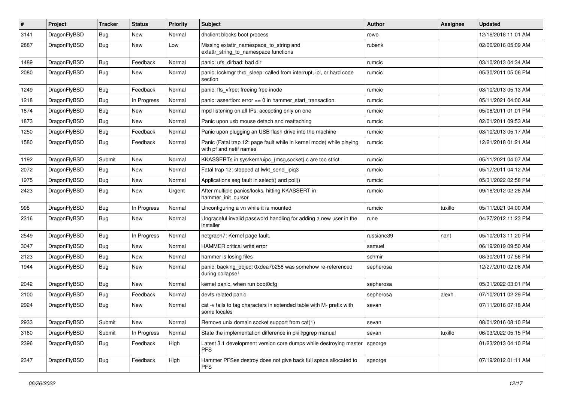| #    | Project      | <b>Tracker</b> | <b>Status</b> | <b>Priority</b> | Subject                                                                                         | Author     | <b>Assignee</b> | <b>Updated</b>      |
|------|--------------|----------------|---------------|-----------------|-------------------------------------------------------------------------------------------------|------------|-----------------|---------------------|
| 3141 | DragonFlyBSD | Bug            | <b>New</b>    | Normal          | dhclient blocks boot process                                                                    | rowo       |                 | 12/16/2018 11:01 AM |
| 2887 | DragonFlyBSD | Bug            | New           | Low             | Missing extattr_namespace_to_string and<br>extattr string to namespace functions                | rubenk     |                 | 02/06/2016 05:09 AM |
| 1489 | DragonFlyBSD | Bug            | Feedback      | Normal          | panic: ufs dirbad: bad dir                                                                      | rumcic     |                 | 03/10/2013 04:34 AM |
| 2080 | DragonFlyBSD | Bug            | New           | Normal          | panic: lockmgr thrd_sleep: called from interrupt, ipi, or hard code<br>section                  | rumcic     |                 | 05/30/2011 05:06 PM |
| 1249 | DragonFlyBSD | Bug            | Feedback      | Normal          | panic: ffs_vfree: freeing free inode                                                            | rumcic     |                 | 03/10/2013 05:13 AM |
| 1218 | DragonFlyBSD | <b>Bug</b>     | In Progress   | Normal          | panic: assertion: $error == 0$ in hammer start transaction                                      | rumcic     |                 | 05/11/2021 04:00 AM |
| 1874 | DragonFlyBSD | <b>Bug</b>     | <b>New</b>    | Normal          | mpd listening on all IPs, accepting only on one                                                 | rumcic     |                 | 05/08/2011 01:01 PM |
| 1873 | DragonFlyBSD | <b>Bug</b>     | <b>New</b>    | Normal          | Panic upon usb mouse detach and reattaching                                                     | rumcic     |                 | 02/01/2011 09:53 AM |
| 1250 | DragonFlyBSD | <b>Bug</b>     | Feedback      | Normal          | Panic upon plugging an USB flash drive into the machine                                         | rumcic     |                 | 03/10/2013 05:17 AM |
| 1580 | DragonFlyBSD | <b>Bug</b>     | Feedback      | Normal          | Panic (Fatal trap 12: page fault while in kernel mode) while playing<br>with pf and netif names | rumcic     |                 | 12/21/2018 01:21 AM |
| 1192 | DragonFlyBSD | Submit         | <b>New</b>    | Normal          | KKASSERTs in sys/kern/uipc_{msg,socket}.c are too strict                                        | rumcic     |                 | 05/11/2021 04:07 AM |
| 2072 | DragonFlyBSD | Bug            | <b>New</b>    | Normal          | Fatal trap 12: stopped at lwkt_send_ipiq3                                                       | rumcic     |                 | 05/17/2011 04:12 AM |
| 1975 | DragonFlyBSD | <b>Bug</b>     | <b>New</b>    | Normal          | Applications seg fault in select() and poll()                                                   | rumcic     |                 | 05/31/2022 02:58 PM |
| 2423 | DragonFlyBSD | <b>Bug</b>     | New           | Urgent          | After multiple panics/locks, hitting KKASSERT in<br>hammer init cursor                          | rumcic     |                 | 09/18/2012 02:28 AM |
| 998  | DragonFlyBSD | Bug            | In Progress   | Normal          | Unconfiguring a vn while it is mounted                                                          | rumcic     | tuxillo         | 05/11/2021 04:00 AM |
| 2316 | DragonFlyBSD | <b>Bug</b>     | New           | Normal          | Ungraceful invalid password handling for adding a new user in the<br>installer                  | rune       |                 | 04/27/2012 11:23 PM |
| 2549 | DragonFlyBSD | <b>Bug</b>     | In Progress   | Normal          | netgraph7: Kernel page fault.                                                                   | russiane39 | nant            | 05/10/2013 11:20 PM |
| 3047 | DragonFlyBSD | Bug            | <b>New</b>    | Normal          | HAMMER critical write error                                                                     | samuel     |                 | 06/19/2019 09:50 AM |
| 2123 | DragonFlyBSD | <b>Bug</b>     | <b>New</b>    | Normal          | hammer is losing files                                                                          | schmir     |                 | 08/30/2011 07:56 PM |
| 1944 | DragonFlyBSD | Bug            | <b>New</b>    | Normal          | panic: backing_object 0xdea7b258 was somehow re-referenced<br>during collapse!                  | sepherosa  |                 | 12/27/2010 02:06 AM |
| 2042 | DragonFlyBSD | Bug            | New           | Normal          | kernel panic, when run boot0cfg                                                                 | sepherosa  |                 | 05/31/2022 03:01 PM |
| 2100 | DragonFlyBSD | <b>Bug</b>     | Feedback      | Normal          | devfs related panic                                                                             | sepherosa  | alexh           | 07/10/2011 02:29 PM |
| 2924 | DragonFlyBSD | Bug            | <b>New</b>    | Normal          | cat -v fails to tag characters in extended table with M- prefix with<br>some locales            | sevan      |                 | 07/11/2016 07:18 AM |
| 2933 | DragonFlyBSD | Submit         | <b>New</b>    | Normal          | Remove unix domain socket support from cat(1)                                                   | sevan      |                 | 08/01/2016 08:10 PM |
| 3160 | DragonFlyBSD | Submit         | In Progress   | Normal          | State the implementation difference in pkill/pgrep manual                                       | sevan      | tuxillo         | 06/03/2022 05:15 PM |
| 2396 | DragonFlyBSD | <b>Bug</b>     | Feedback      | High            | Latest 3.1 development version core dumps while destroying master<br><b>PFS</b>                 | sgeorge    |                 | 01/23/2013 04:10 PM |
| 2347 | DragonFlyBSD | <b>Bug</b>     | Feedback      | High            | Hammer PFSes destroy does not give back full space allocated to<br><b>PFS</b>                   | sgeorge    |                 | 07/19/2012 01:11 AM |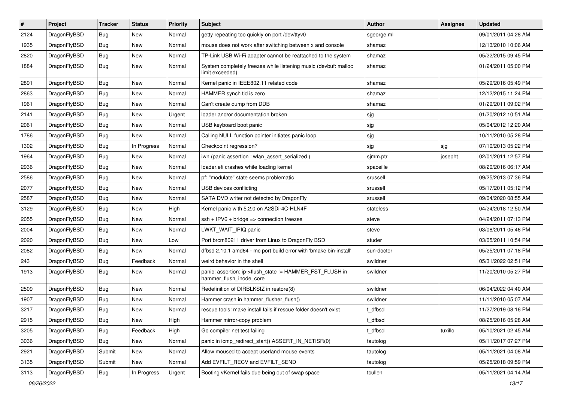| $\vert$ # | Project      | <b>Tracker</b> | <b>Status</b> | <b>Priority</b> | Subject                                                                             | Author     | Assignee | <b>Updated</b>      |
|-----------|--------------|----------------|---------------|-----------------|-------------------------------------------------------------------------------------|------------|----------|---------------------|
| 2124      | DragonFlyBSD | Bug            | <b>New</b>    | Normal          | getty repeating too quickly on port /dev/ttyv0                                      | sgeorge.ml |          | 09/01/2011 04:28 AM |
| 1935      | DragonFlyBSD | Bug            | <b>New</b>    | Normal          | mouse does not work after switching between x and console                           | shamaz     |          | 12/13/2010 10:06 AM |
| 2820      | DragonFlyBSD | <b>Bug</b>     | New           | Normal          | TP-Link USB Wi-Fi adapter cannot be reattached to the system                        | shamaz     |          | 05/22/2015 09:45 PM |
| 1884      | DragonFlyBSD | <b>Bug</b>     | New           | Normal          | System completely freezes while listening music (devbuf: malloc<br>limit exceeded)  | shamaz     |          | 01/24/2011 05:00 PM |
| 2891      | DragonFlyBSD | <b>Bug</b>     | <b>New</b>    | Normal          | Kernel panic in IEEE802.11 related code                                             | shamaz     |          | 05/29/2016 05:49 PM |
| 2863      | DragonFlyBSD | Bug            | <b>New</b>    | Normal          | HAMMER synch tid is zero                                                            | shamaz     |          | 12/12/2015 11:24 PM |
| 1961      | DragonFlyBSD | <b>Bug</b>     | New           | Normal          | Can't create dump from DDB                                                          | shamaz     |          | 01/29/2011 09:02 PM |
| 2141      | DragonFlyBSD | Bug            | <b>New</b>    | Urgent          | loader and/or documentation broken                                                  | sjg        |          | 01/20/2012 10:51 AM |
| 2061      | DragonFlyBSD | <b>Bug</b>     | <b>New</b>    | Normal          | USB keyboard boot panic                                                             | sjg        |          | 05/04/2012 12:20 AM |
| 1786      | DragonFlyBSD | <b>Bug</b>     | New           | Normal          | Calling NULL function pointer initiates panic loop                                  | sjg        |          | 10/11/2010 05:28 PM |
| 1302      | DragonFlyBSD | <b>Bug</b>     | In Progress   | Normal          | Checkpoint regression?                                                              | sjg        | sjg      | 07/10/2013 05:22 PM |
| 1964      | DragonFlyBSD | <b>Bug</b>     | New           | Normal          | iwn (panic assertion : wlan assert serialized)                                      | sjmm.ptr   | josepht  | 02/01/2011 12:57 PM |
| 2936      | DragonFlyBSD | <b>Bug</b>     | <b>New</b>    | Normal          | loader.efi crashes while loading kernel                                             | spaceille  |          | 08/20/2016 06:17 AM |
| 2586      | DragonFlyBSD | <b>Bug</b>     | <b>New</b>    | Normal          | pf: "modulate" state seems problematic                                              | srussell   |          | 09/25/2013 07:36 PM |
| 2077      | DragonFlyBSD | Bug            | <b>New</b>    | Normal          | USB devices conflicting                                                             | srussell   |          | 05/17/2011 05:12 PM |
| 2587      | DragonFlyBSD | <b>Bug</b>     | <b>New</b>    | Normal          | SATA DVD writer not detected by DragonFly                                           | srussell   |          | 09/04/2020 08:55 AM |
| 3129      | DragonFlyBSD | Bug            | New           | High            | Kernel panic with 5.2.0 on A2SDi-4C-HLN4F                                           | stateless  |          | 04/24/2018 12:50 AM |
| 2055      | DragonFlyBSD | <b>Bug</b>     | New           | Normal          | ssh + IPV6 + bridge => connection freezes                                           | steve      |          | 04/24/2011 07:13 PM |
| 2004      | DragonFlyBSD | <b>Bug</b>     | <b>New</b>    | Normal          | LWKT_WAIT_IPIQ panic                                                                | steve      |          | 03/08/2011 05:46 PM |
| 2020      | DragonFlyBSD | <b>Bug</b>     | New           | Low             | Port brcm80211 driver from Linux to DragonFly BSD                                   | studer     |          | 03/05/2011 10:54 PM |
| 2082      | DragonFlyBSD | Bug            | New           | Normal          | dfbsd 2.10.1 amd64 - mc port build error with 'bmake bin-install'                   | sun-doctor |          | 05/25/2011 07:18 PM |
| 243       | DragonFlyBSD | Bug            | Feedback      | Normal          | weird behavior in the shell                                                         | swildner   |          | 05/31/2022 02:51 PM |
| 1913      | DragonFlyBSD | <b>Bug</b>     | New           | Normal          | panic: assertion: ip->flush_state != HAMMER_FST_FLUSH in<br>hammer_flush_inode_core | swildner   |          | 11/20/2010 05:27 PM |
| 2509      | DragonFlyBSD | Bug            | New           | Normal          | Redefinition of DIRBLKSIZ in restore(8)                                             | swildner   |          | 06/04/2022 04:40 AM |
| 1907      | DragonFlyBSD | <b>Bug</b>     | <b>New</b>    | Normal          | Hammer crash in hammer_flusher_flush()                                              | swildner   |          | 11/11/2010 05:07 AM |
| 3217      | DragonFlyBSD | <b>Bug</b>     | <b>New</b>    | Normal          | rescue tools: make install fails if rescue folder doesn't exist                     | t dfbsd    |          | 11/27/2019 08:16 PM |
| 2915      | DragonFlyBSD | Bug            | New           | High            | Hammer mirror-copy problem                                                          | t dfbsd    |          | 08/25/2016 05:28 AM |
| 3205      | DragonFlyBSD | Bug            | Feedback      | High            | Go compiler net test failing                                                        | t dfbsd    | tuxillo  | 05/10/2021 02:45 AM |
| 3036      | DragonFlyBSD | Bug            | New           | Normal          | panic in icmp_redirect_start() ASSERT_IN_NETISR(0)                                  | tautolog   |          | 05/11/2017 07:27 PM |
| 2921      | DragonFlyBSD | Submit         | New           | Normal          | Allow moused to accept userland mouse events                                        | tautolog   |          | 05/11/2021 04:08 AM |
| 3135      | DragonFlyBSD | Submit         | New           | Normal          | Add EVFILT_RECV and EVFILT_SEND                                                     | tautolog   |          | 05/25/2018 09:59 PM |
| 3113      | DragonFlyBSD | Bug            | In Progress   | Urgent          | Booting vKernel fails due being out of swap space                                   | tcullen    |          | 05/11/2021 04:14 AM |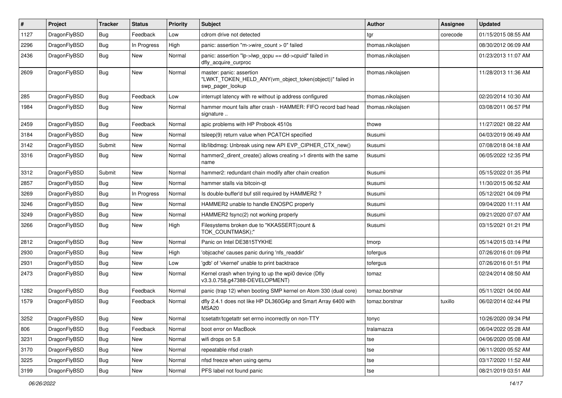| $\pmb{\#}$ | Project      | <b>Tracker</b> | <b>Status</b> | <b>Priority</b> | Subject                                                                                                  | <b>Author</b>     | <b>Assignee</b> | <b>Updated</b>      |
|------------|--------------|----------------|---------------|-----------------|----------------------------------------------------------------------------------------------------------|-------------------|-----------------|---------------------|
| 1127       | DragonFlyBSD | Bug            | Feedback      | Low             | cdrom drive not detected                                                                                 | tgr               | corecode        | 01/15/2015 08:55 AM |
| 2296       | DragonFlyBSD | Bug            | In Progress   | High            | panic: assertion "m->wire count > 0" failed                                                              | thomas.nikolajsen |                 | 08/30/2012 06:09 AM |
| 2436       | DragonFlyBSD | Bug            | New           | Normal          | panic: assertion "lp->lwp_qcpu == dd->cpuid" failed in<br>dfly_acquire_curproc                           | thomas.nikolajsen |                 | 01/23/2013 11:07 AM |
| 2609       | DragonFlyBSD | Bug            | <b>New</b>    | Normal          | master: panic: assertion<br>"LWKT_TOKEN_HELD_ANY(vm_object_token(object))" failed in<br>swp_pager_lookup | thomas.nikolajsen |                 | 11/28/2013 11:36 AM |
| 285        | DragonFlyBSD | <b>Bug</b>     | Feedback      | Low             | interrupt latency with re without ip address configured                                                  | thomas.nikolajsen |                 | 02/20/2014 10:30 AM |
| 1984       | DragonFlyBSD | Bug            | <b>New</b>    | Normal          | hammer mount fails after crash - HAMMER: FIFO record bad head<br>signature                               | thomas.nikolajsen |                 | 03/08/2011 06:57 PM |
| 2459       | DragonFlyBSD | <b>Bug</b>     | Feedback      | Normal          | apic problems with HP Probook 4510s                                                                      | thowe             |                 | 11/27/2021 08:22 AM |
| 3184       | DragonFlyBSD | Bug            | <b>New</b>    | Normal          | tsleep(9) return value when PCATCH specified                                                             | tkusumi           |                 | 04/03/2019 06:49 AM |
| 3142       | DragonFlyBSD | Submit         | New           | Normal          | lib/libdmsg: Unbreak using new API EVP_CIPHER_CTX_new()                                                  | tkusumi           |                 | 07/08/2018 04:18 AM |
| 3316       | DragonFlyBSD | Bug            | New           | Normal          | hammer2_dirent_create() allows creating >1 dirents with the same<br>name                                 | tkusumi           |                 | 06/05/2022 12:35 PM |
| 3312       | DragonFlyBSD | Submit         | <b>New</b>    | Normal          | hammer2: redundant chain modify after chain creation                                                     | tkusumi           |                 | 05/15/2022 01:35 PM |
| 2857       | DragonFlyBSD | Bug            | New           | Normal          | hammer stalls via bitcoin-qt                                                                             | tkusumi           |                 | 11/30/2015 06:52 AM |
| 3269       | DragonFlyBSD | Bug            | In Progress   | Normal          | Is double-buffer'd buf still required by HAMMER2 ?                                                       | tkusumi           |                 | 05/12/2021 04:09 PM |
| 3246       | DragonFlyBSD | Bug            | <b>New</b>    | Normal          | HAMMER2 unable to handle ENOSPC properly                                                                 | tkusumi           |                 | 09/04/2020 11:11 AM |
| 3249       | DragonFlyBSD | Bug            | New           | Normal          | HAMMER2 fsync(2) not working properly                                                                    | tkusumi           |                 | 09/21/2020 07:07 AM |
| 3266       | DragonFlyBSD | Bug            | <b>New</b>    | High            | Filesystems broken due to "KKASSERT(count &<br>TOK_COUNTMASK);"                                          | tkusumi           |                 | 03/15/2021 01:21 PM |
| 2812       | DragonFlyBSD | Bug            | <b>New</b>    | Normal          | Panic on Intel DE3815TYKHE                                                                               | tmorp             |                 | 05/14/2015 03:14 PM |
| 2930       | DragonFlyBSD | Bug            | <b>New</b>    | High            | 'objcache' causes panic during 'nfs readdir'                                                             | tofergus          |                 | 07/26/2016 01:09 PM |
| 2931       | DragonFlyBSD | <b>Bug</b>     | New           | Low             | 'gdb' of 'vkernel' unable to print backtrace                                                             | tofergus          |                 | 07/26/2016 01:51 PM |
| 2473       | DragonFlyBSD | Bug            | New           | Normal          | Kernel crash when trying to up the wpi0 device (Dfly<br>v3.3.0.758.g47388-DEVELOPMENT)                   | tomaz             |                 | 02/24/2014 08:50 AM |
| 1282       | DragonFlyBSD | Bug            | Feedback      | Normal          | panic (trap 12) when booting SMP kernel on Atom 330 (dual core)                                          | tomaz.borstnar    |                 | 05/11/2021 04:00 AM |
| 1579       | DragonFlyBSD | Bug            | Feedback      | Normal          | dfly 2.4.1 does not like HP DL360G4p and Smart Array 6400 with<br><b>MSA20</b>                           | tomaz.borstnar    | tuxillo         | 06/02/2014 02:44 PM |
| 3252       | DragonFlyBSD | Bug            | New           | Normal          | tcsetattr/tcgetattr set errno incorrectly on non-TTY                                                     | tonyc             |                 | 10/26/2020 09:34 PM |
| 806        | DragonFlyBSD | Bug            | Feedback      | Normal          | boot error on MacBook                                                                                    | tralamazza        |                 | 06/04/2022 05:28 AM |
| 3231       | DragonFlyBSD | <b>Bug</b>     | New           | Normal          | wifi drops on 5.8                                                                                        | tse               |                 | 04/06/2020 05:08 AM |
| 3170       | DragonFlyBSD | Bug            | New           | Normal          | repeatable nfsd crash                                                                                    | tse               |                 | 06/11/2020 05:52 AM |
| 3225       | DragonFlyBSD | Bug            | New           | Normal          | nfsd freeze when using gemu                                                                              | tse               |                 | 03/17/2020 11:52 AM |
| 3199       | DragonFlyBSD | Bug            | New           | Normal          | PFS label not found panic                                                                                | tse               |                 | 08/21/2019 03:51 AM |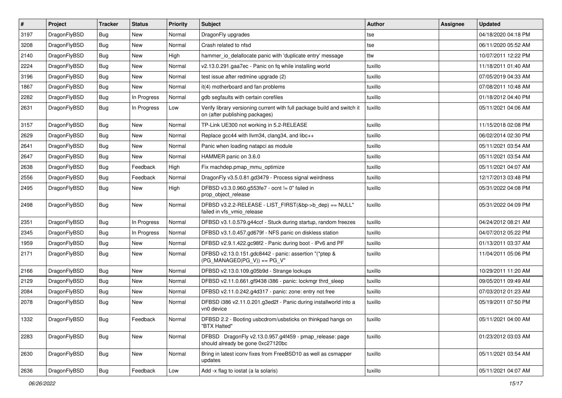| $\sharp$ | Project      | <b>Tracker</b> | <b>Status</b> | <b>Priority</b> | <b>Subject</b>                                                                                            | <b>Author</b> | <b>Assignee</b> | <b>Updated</b>      |
|----------|--------------|----------------|---------------|-----------------|-----------------------------------------------------------------------------------------------------------|---------------|-----------------|---------------------|
| 3197     | DragonFlyBSD | Bug            | New           | Normal          | DragonFly upgrades                                                                                        | tse           |                 | 04/18/2020 04:18 PM |
| 3208     | DragonFlyBSD | Bug            | <b>New</b>    | Normal          | Crash related to nfsd                                                                                     | tse           |                 | 06/11/2020 05:52 AM |
| 2140     | DragonFlyBSD | <b>Bug</b>     | <b>New</b>    | High            | hammer io delallocate panic with 'duplicate entry' message                                                | ttw           |                 | 10/07/2011 12:22 PM |
| 2224     | DragonFlyBSD | <b>Bug</b>     | New           | Normal          | v2.13.0.291.gaa7ec - Panic on fq while installing world                                                   | tuxillo       |                 | 11/18/2011 01:40 AM |
| 3196     | DragonFlyBSD | Bug            | New           | Normal          | test issue after redmine upgrade (2)                                                                      | tuxillo       |                 | 07/05/2019 04:33 AM |
| 1867     | DragonFlyBSD | <b>Bug</b>     | New           | Normal          | it(4) motherboard and fan problems                                                                        | tuxillo       |                 | 07/08/2011 10:48 AM |
| 2282     | DragonFlyBSD | <b>Bug</b>     | In Progress   | Normal          | gdb segfaults with certain corefiles                                                                      | tuxillo       |                 | 01/18/2012 04:40 PM |
| 2631     | DragonFlyBSD | Bug            | In Progress   | Low             | Verify library versioning current with full package build and switch it<br>on (after publishing packages) | tuxillo       |                 | 05/11/2021 04:06 AM |
| 3157     | DragonFlyBSD | Bug            | <b>New</b>    | Normal          | TP-Link UE300 not working in 5.2-RELEASE                                                                  | tuxillo       |                 | 11/15/2018 02:08 PM |
| 2629     | DragonFlyBSD | <b>Bug</b>     | <b>New</b>    | Normal          | Replace gcc44 with llvm34, clang34, and libc++                                                            | tuxillo       |                 | 06/02/2014 02:30 PM |
| 2641     | DragonFlyBSD | <b>Bug</b>     | New           | Normal          | Panic when loading natapci as module                                                                      | tuxillo       |                 | 05/11/2021 03:54 AM |
| 2647     | DragonFlyBSD | Bug            | <b>New</b>    | Normal          | HAMMER panic on 3.6.0                                                                                     | tuxillo       |                 | 05/11/2021 03:54 AM |
| 2638     | DragonFlyBSD | <b>Bug</b>     | Feedback      | High            | Fix machdep.pmap_mmu_optimize                                                                             | tuxillo       |                 | 05/11/2021 04:07 AM |
| 2556     | DragonFlyBSD | <b>Bug</b>     | Feedback      | Normal          | DragonFly v3.5.0.81.gd3479 - Process signal weirdness                                                     | tuxillo       |                 | 12/17/2013 03:48 PM |
| 2495     | DragonFlyBSD | <b>Bug</b>     | New           | High            | DFBSD v3.3.0.960.g553fe7 - ocnt != 0" failed in<br>prop_object_release                                    | tuxillo       |                 | 05/31/2022 04:08 PM |
| 2498     | DragonFlyBSD | <b>Bug</b>     | New           | Normal          | DFBSD v3.2.2-RELEASE - LIST_FIRST(&bp->b_dep) == NULL"<br>failed in vfs_vmio_release                      | tuxillo       |                 | 05/31/2022 04:09 PM |
| 2351     | DragonFlyBSD | Bug            | In Progress   | Normal          | DFBSD v3.1.0.579.g44ccf - Stuck during startup, random freezes                                            | tuxillo       |                 | 04/24/2012 08:21 AM |
| 2345     | DragonFlyBSD | <b>Bug</b>     | In Progress   | Normal          | DFBSD v3.1.0.457.gd679f - NFS panic on diskless station                                                   | tuxillo       |                 | 04/07/2012 05:22 PM |
| 1959     | DragonFlyBSD | <b>Bug</b>     | <b>New</b>    | Normal          | DFBSD v2.9.1.422.gc98f2 - Panic during boot - IPv6 and PF                                                 | tuxillo       |                 | 01/13/2011 03:37 AM |
| 2171     | DragonFlyBSD | <b>Bug</b>     | New           | Normal          | DFBSD v2.13.0.151.gdc8442 - panic: assertion "(*ptep &<br>$(PG$ MANAGED $ PG_V\rangle$ ) == PG_V"         | tuxillo       |                 | 11/04/2011 05:06 PM |
| 2166     | DragonFlyBSD | Bug            | <b>New</b>    | Normal          | DFBSD v2.13.0.109.g05b9d - Strange lockups                                                                | tuxillo       |                 | 10/29/2011 11:20 AM |
| 2129     | DragonFlyBSD | Bug            | New           | Normal          | DFBSD v2.11.0.661.gf9438 i386 - panic: lockmgr thrd_sleep                                                 | tuxillo       |                 | 09/05/2011 09:49 AM |
| 2084     | DragonFlyBSD | Bug            | New           | Normal          | DFBSD v2.11.0.242.g4d317 - panic: zone: entry not free                                                    | tuxillo       |                 | 07/03/2012 01:23 AM |
| 2078     | DragonFlyBSD | Bug            | New           | Normal          | DFBSD i386 v2.11.0.201.g3ed2f - Panic during installworld into a<br>vn0 device                            | tuxillo       |                 | 05/19/2011 07:50 PM |
| 1332     | DragonFlyBSD | <b>Bug</b>     | Feedback      | Normal          | DFBSD 2.2 - Booting usbcdrom/usbsticks on thinkpad hangs on<br>"BTX Halted"                               | tuxillo       |                 | 05/11/2021 04:00 AM |
| 2283     | DragonFlyBSD | <b>Bug</b>     | New           | Normal          | DFBSD DragonFly v2.13.0.957.g4f459 - pmap release: page<br>should already be gone 0xc27120bc              | tuxillo       |                 | 01/23/2012 03:03 AM |
| 2630     | DragonFlyBSD | <b>Bug</b>     | New           | Normal          | Bring in latest iconv fixes from FreeBSD10 as well as csmapper<br>updates                                 | tuxillo       |                 | 05/11/2021 03:54 AM |
| 2636     | DragonFlyBSD | Bug            | Feedback      | Low             | Add -x flag to iostat (a la solaris)                                                                      | tuxillo       |                 | 05/11/2021 04:07 AM |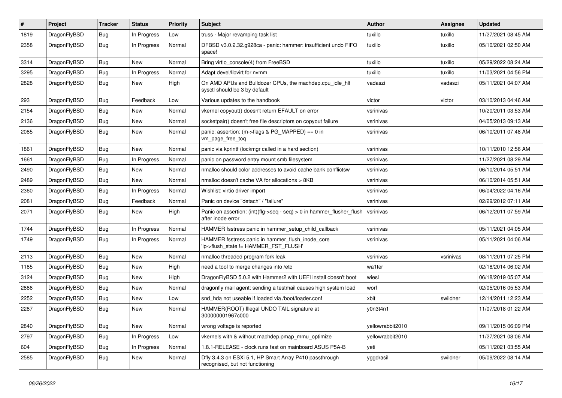| #    | Project      | <b>Tracker</b> | <b>Status</b> | <b>Priority</b> | <b>Subject</b>                                                                                | <b>Author</b>    | Assignee  | <b>Updated</b>      |
|------|--------------|----------------|---------------|-----------------|-----------------------------------------------------------------------------------------------|------------------|-----------|---------------------|
| 1819 | DragonFlyBSD | <b>Bug</b>     | In Progress   | Low             | truss - Major revamping task list                                                             | tuxillo          | tuxillo   | 11/27/2021 08:45 AM |
| 2358 | DragonFlyBSD | Bug            | In Progress   | Normal          | DFBSD v3.0.2.32.g928ca - panic: hammer: insufficient undo FIFO<br>space!                      | tuxillo          | tuxillo   | 05/10/2021 02:50 AM |
| 3314 | DragonFlyBSD | Bug            | <b>New</b>    | Normal          | Bring virtio_console(4) from FreeBSD                                                          | tuxillo          | tuxillo   | 05/29/2022 08:24 AM |
| 3295 | DragonFlyBSD | Bug            | In Progress   | Normal          | Adapt devel/libvirt for nvmm                                                                  | tuxillo          | tuxillo   | 11/03/2021 04:56 PM |
| 2828 | DragonFlyBSD | Bug            | New           | High            | On AMD APUs and Bulldozer CPUs, the machdep.cpu_idle_hlt<br>sysctl should be 3 by default     | vadaszi          | vadaszi   | 05/11/2021 04:07 AM |
| 293  | DragonFlyBSD | Bug            | Feedback      | Low             | Various updates to the handbook                                                               | victor           | victor    | 03/10/2013 04:46 AM |
| 2154 | DragonFlyBSD | Bug            | <b>New</b>    | Normal          | vkernel copyout() doesn't return EFAULT on error                                              | vsrinivas        |           | 10/20/2011 03:53 AM |
| 2136 | DragonFlyBSD | Bug            | New           | Normal          | socketpair() doesn't free file descriptors on copyout failure                                 | vsrinivas        |           | 04/05/2013 09:13 AM |
| 2085 | DragonFlyBSD | Bug            | <b>New</b>    | Normal          | panic: assertion: (m->flags & PG_MAPPED) == 0 in<br>vm_page_free_toq                          | vsrinivas        |           | 06/10/2011 07:48 AM |
| 1861 | DragonFlyBSD | Bug            | <b>New</b>    | Normal          | panic via kprintf (lockmgr called in a hard section)                                          | vsrinivas        |           | 10/11/2010 12:56 AM |
| 1661 | DragonFlyBSD | Bug            | In Progress   | Normal          | panic on password entry mount smb filesystem                                                  | vsrinivas        |           | 11/27/2021 08:29 AM |
| 2490 | DragonFlyBSD | Bug            | New           | Normal          | nmalloc should color addresses to avoid cache bank conflictsw                                 | vsrinivas        |           | 06/10/2014 05:51 AM |
| 2489 | DragonFlyBSD | <b>Bug</b>     | New           | Normal          | nmalloc doesn't cache VA for allocations > 8KB                                                | vsrinivas        |           | 06/10/2014 05:51 AM |
| 2360 | DragonFlyBSD | <b>Bug</b>     | In Progress   | Normal          | Wishlist: virtio driver import                                                                | vsrinivas        |           | 06/04/2022 04:16 AM |
| 2081 | DragonFlyBSD | Bug            | Feedback      | Normal          | Panic on device "detach" / "failure"                                                          | vsrinivas        |           | 02/29/2012 07:11 AM |
| 2071 | DragonFlyBSD | <b>Bug</b>     | New           | High            | Panic on assertion: $(int)(flag->seq - seq) > 0$ in hammer flusher flush<br>after inode error | vsrinivas        |           | 06/12/2011 07:59 AM |
| 1744 | DragonFlyBSD | Bug            | In Progress   | Normal          | HAMMER fsstress panic in hammer setup child callback                                          | vsrinivas        |           | 05/11/2021 04:05 AM |
| 1749 | DragonFlyBSD | <b>Bug</b>     | In Progress   | Normal          | HAMMER fsstress panic in hammer_flush_inode_core<br>'ip->flush_state != HAMMER_FST_FLUSH'     | vsrinivas        |           | 05/11/2021 04:06 AM |
| 2113 | DragonFlyBSD | <b>Bug</b>     | New           | Normal          | nmalloc threaded program fork leak                                                            | vsrinivas        | vsrinivas | 08/11/2011 07:25 PM |
| 1185 | DragonFlyBSD | <b>Bug</b>     | New           | High            | need a tool to merge changes into /etc                                                        | wa1ter           |           | 02/18/2014 06:02 AM |
| 3124 | DragonFlyBSD | Bug            | <b>New</b>    | High            | DragonFlyBSD 5.0.2 with Hammer2 with UEFI install doesn't boot                                | wiesl            |           | 06/18/2019 05:07 AM |
| 2886 | DragonFlyBSD | <b>Bug</b>     | New           | Normal          | dragonfly mail agent: sending a testmail causes high system load                              | worf             |           | 02/05/2016 05:53 AM |
| 2252 | DragonFlyBSD | <b>Bug</b>     | New           | Low             | snd_hda not useable if loaded via /boot/loader.conf                                           | xbit             | swildner  | 12/14/2011 12:23 AM |
| 2287 | DragonFlyBSD | Bug            | New           | Normal          | HAMMER(ROOT) Illegal UNDO TAIL signature at<br>300000001967c000                               | v0n3t4n1         |           | 11/07/2018 01:22 AM |
| 2840 | DragonFlyBSD | <b>Bug</b>     | New           | Normal          | wrong voltage is reported                                                                     | yellowrabbit2010 |           | 09/11/2015 06:09 PM |
| 2797 | DragonFlyBSD | Bug            | In Progress   | Low             | vkernels with & without machdep.pmap_mmu_optimize                                             | yellowrabbit2010 |           | 11/27/2021 08:06 AM |
| 604  | DragonFlyBSD | <b>Bug</b>     | In Progress   | Normal          | 1.8.1-RELEASE - clock runs fast on mainboard ASUS P5A-B                                       | yeti             |           | 05/11/2021 03:55 AM |
| 2585 | DragonFlyBSD | <b>Bug</b>     | New           | Normal          | Dfly 3.4.3 on ESXi 5.1, HP Smart Array P410 passthrough<br>recognised, but not functioning    | yggdrasil        | swildner  | 05/09/2022 08:14 AM |